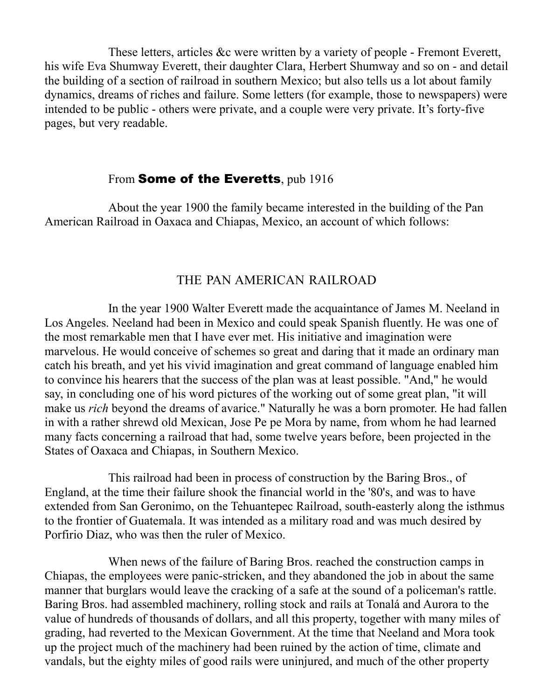These letters, articles &c were written by a variety of people - Fremont Everett, his wife Eva Shumway Everett, their daughter Clara, Herbert Shumway and so on - and detail the building of a section of railroad in southern Mexico; but also tells us a lot about family dynamics, dreams of riches and failure. Some letters (for example, those to newspapers) were intended to be public - others were private, and a couple were very private. It's forty-five pages, but very readable.

#### From **Some of the Everetts**, pub 1916

About the year 1900 the family became interested in the building of the Pan American Railroad in Oaxaca and Chiapas, Mexico, an account of which follows:

#### THE PAN AMERICAN RAILROAD

In the year 1900 Walter Everett made the acquaintance of James M. Neeland in Los Angeles. Neeland had been in Mexico and could speak Spanish fluently. He was one of the most remarkable men that I have ever met. His initiative and imagination were marvelous. He would conceive of schemes so great and daring that it made an ordinary man catch his breath, and yet his vivid imagination and great command of language enabled him to convince his hearers that the success of the plan was at least possible. "And," he would say, in concluding one of his word pictures of the working out of some great plan, "it will make us *rich* beyond the dreams of avarice." Naturally he was a born promoter. He had fallen in with a rather shrewd old Mexican, Jose Pe pe Mora by name, from whom he had learned many facts concerning a railroad that had, some twelve years before, been projected in the States of Oaxaca and Chiapas, in Southern Mexico.

This railroad had been in process of construction by the Baring Bros., of England, at the time their failure shook the financial world in the '80's, and was to have extended from San Geronimo, on the Tehuantepec Railroad, south-easterly along the isthmus to the frontier of Guatemala. It was intended as a military road and was much desired by Porfirio Diaz, who was then the ruler of Mexico.

When news of the failure of Baring Bros. reached the construction camps in Chiapas, the employees were panic-stricken, and they abandoned the job in about the same manner that burglars would leave the cracking of a safe at the sound of a policeman's rattle. Baring Bros. had assembled machinery, rolling stock and rails at Tonalá and Aurora to the value of hundreds of thousands of dollars, and all this property, together with many miles of grading, had reverted to the Mexican Government. At the time that Neeland and Mora took up the project much of the machinery had been ruined by the action of time, climate and vandals, but the eighty miles of good rails were uninjured, and much of the other property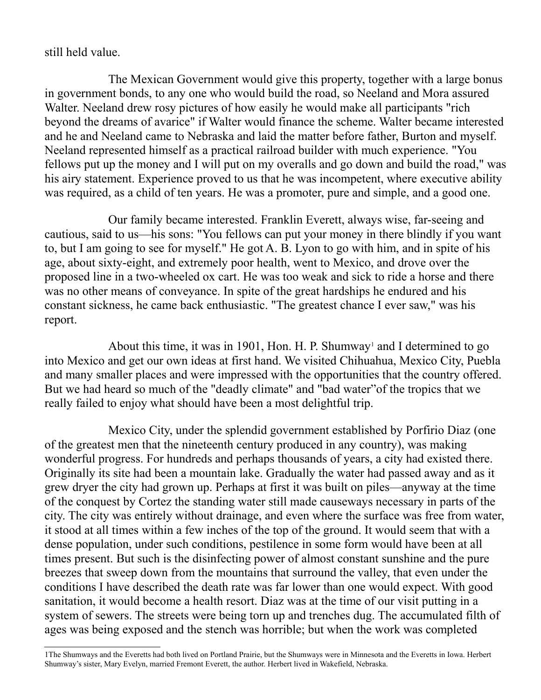#### still held value.

The Mexican Government would give this property, together with a large bonus in government bonds, to any one who would build the road, so Neeland and Mora assured Walter. Neeland drew rosy pictures of how easily he would make all participants "rich beyond the dreams of avarice" if Walter would finance the scheme. Walter became interested and he and Neeland came to Nebraska and laid the matter before father, Burton and myself. Neeland represented himself as a practical railroad builder with much experience. "You fellows put up the money and I will put on my overalls and go down and build the road," was his airy statement. Experience proved to us that he was incompetent, where executive ability was required, as a child of ten years. He was a promoter, pure and simple, and a good one.

Our family became interested. Franklin Everett, always wise, far-seeing and cautious, said to us—his sons: "You fellows can put your money in there blindly if you want to, but I am going to see for myself." He got A. B. Lyon to go with him, and in spite of his age, about sixty-eight, and extremely poor health, went to Mexico, and drove over the proposed line in a two-wheeled ox cart. He was too weak and sick to ride a horse and there was no other means of conveyance. In spite of the great hardships he endured and his constant sickness, he came back enthusiastic. "The greatest chance I ever saw," was his report.

About this time, it was in [1](#page-1-0)901, Hon. H. P. Shumway<sup>1</sup> and I determined to go into Mexico and get our own ideas at first hand. We visited Chihuahua, Mexico City, Puebla and many smaller places and were impressed with the opportunities that the country offered. But we had heard so much of the "deadly climate" and "bad water"of the tropics that we really failed to enjoy what should have been a most delightful trip.

Mexico City, under the splendid government established by Porfirio Diaz (one of the greatest men that the nineteenth century produced in any country), was making wonderful progress. For hundreds and perhaps thousands of years, a city had existed there. Originally its site had been a mountain lake. Gradually the water had passed away and as it grew dryer the city had grown up. Perhaps at first it was built on piles—anyway at the time of the conquest by Cortez the standing water still made causeways necessary in parts of the city. The city was entirely without drainage, and even where the surface was free from water, it stood at all times within a few inches of the top of the ground. It would seem that with a dense population, under such conditions, pestilence in some form would have been at all times present. But such is the disinfecting power of almost constant sunshine and the pure breezes that sweep down from the mountains that surround the valley, that even under the conditions I have described the death rate was far lower than one would expect. With good sanitation, it would become a health resort. Diaz was at the time of our visit putting in a system of sewers. The streets were being torn up and trenches dug. The accumulated filth of ages was being exposed and the stench was horrible; but when the work was completed

<span id="page-1-0"></span><sup>1</sup>The Shumways and the Everetts had both lived on Portland Prairie, but the Shumways were in Minnesota and the Everetts in Iowa. Herbert Shumway's sister, Mary Evelyn, married Fremont Everett, the author. Herbert lived in Wakefield, Nebraska.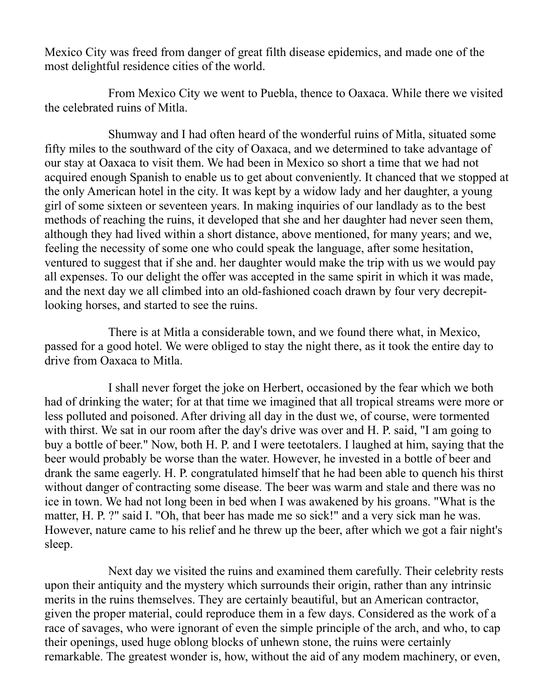Mexico City was freed from danger of great filth disease epidemics, and made one of the most delightful residence cities of the world.

From Mexico City we went to Puebla, thence to Oaxaca. While there we visited the celebrated ruins of Mitla.

Shumway and I had often heard of the wonderful ruins of Mitla, situated some fifty miles to the southward of the city of Oaxaca, and we determined to take advantage of our stay at Oaxaca to visit them. We had been in Mexico so short a time that we had not acquired enough Spanish to enable us to get about conveniently. It chanced that we stopped at the only American hotel in the city. It was kept by a widow lady and her daughter, a young girl of some sixteen or seventeen years. In making inquiries of our landlady as to the best methods of reaching the ruins, it developed that she and her daughter had never seen them, although they had lived within a short distance, above mentioned, for many years; and we, feeling the necessity of some one who could speak the language, after some hesitation, ventured to suggest that if she and. her daughter would make the trip with us we would pay all expenses. To our delight the offer was accepted in the same spirit in which it was made, and the next day we all climbed into an old-fashioned coach drawn by four very decrepitlooking horses, and started to see the ruins.

There is at Mitla a considerable town, and we found there what, in Mexico, passed for a good hotel. We were obliged to stay the night there, as it took the entire day to drive from Oaxaca to Mitla.

I shall never forget the joke on Herbert, occasioned by the fear which we both had of drinking the water; for at that time we imagined that all tropical streams were more or less polluted and poisoned. After driving all day in the dust we, of course, were tormented with thirst. We sat in our room after the day's drive was over and H. P. said, "I am going to buy a bottle of beer." Now, both H. P. and I were teetotalers. I laughed at him, saying that the beer would probably be worse than the water. However, he invested in a bottle of beer and drank the same eagerly. H. P. congratulated himself that he had been able to quench his thirst without danger of contracting some disease. The beer was warm and stale and there was no ice in town. We had not long been in bed when I was awakened by his groans. "What is the matter, H. P. ?" said I. "Oh, that beer has made me so sick!" and a very sick man he was. However, nature came to his relief and he threw up the beer, after which we got a fair night's sleep.

Next day we visited the ruins and examined them carefully. Their celebrity rests upon their antiquity and the mystery which surrounds their origin, rather than any intrinsic merits in the ruins themselves. They are certainly beautiful, but an American contractor, given the proper material, could reproduce them in a few days. Considered as the work of a race of savages, who were ignorant of even the simple principle of the arch, and who, to cap their openings, used huge oblong blocks of unhewn stone, the ruins were certainly remarkable. The greatest wonder is, how, without the aid of any modem machinery, or even,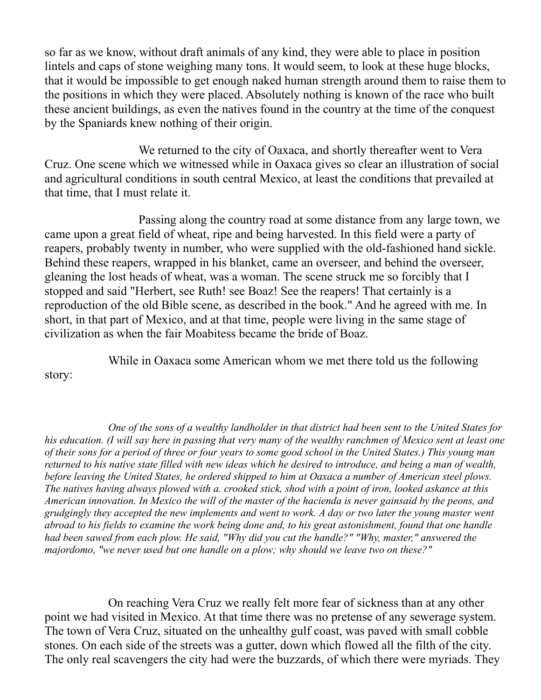so far as we know, without draft animals of any kind, they were able to place in position lintels and caps of stone weighing many tons. It would seem, to look at these huge blocks, that it would be impossible to get enough naked human strength around them to raise them to the positions in which they were placed. Absolutely nothing is known of the race who built these ancient buildings, as even the natives found in the country at the time of the conquest by the Spaniards knew nothing of their origin.

We returned to the city of Oaxaca, and shortly thereafter went to Vera Cruz. One scene which we witnessed while in Oaxaca gives so clear an illustration of social and agricultural conditions in south central Mexico, at least the conditions that prevailed at that time, that I must relate it.

Passing along the country road at some distance from any large town, we came upon a great field of wheat, ripe and being harvested. In this field were a party of reapers, probably twenty in number, who were supplied with the old-fashioned hand sickle. Behind these reapers, wrapped in his blanket, came an overseer, and behind the overseer, gleaning the lost heads of wheat, was a woman. The scene struck me so forcibly that I stopped and said "Herbert, see Ruth! see Boaz! See the reapers! That certainly is a reproduction of the old Bible scene, as described in the book." And he agreed with me. In short, in that part of Mexico, and at that time, people were living in the same stage of civilization as when the fair Moabitess became the bride of Boaz.

While in Oaxaca some American whom we met there told us the following

story:

*One of the sons of a wealthy landholder in that district had been sent to the United States for his education. (I will say here in passing that very many of the wealthy ranchmen of Mexico sent at least one of their sons for a period of three or four years to some good school in the United States.) This young man returned to his native state filled with new ideas which he desired to introduce, and being a man of wealth, before leaving the United States, he ordered shipped to him at Oaxaca a number of American steel plows. The natives having always plowed with a. crooked stick, shod with a point of iron, looked askance at this American innovation. In Mexico the will of the master of the hacienda is never gainsaid by the peons, and grudgingly they accepted the new implements and went to work. A day or two later the young master went abroad to his fields to examine the work being done and, to his great astonishment, found that one handle had been sawed from each plow. He said, "Why did you cut the handle?" "Why, master," answered the majordomo, "we never used but one handle on a plow; why should we leave two on these?"*

On reaching Vera Cruz we really felt more fear of sickness than at any other point we had visited in Mexico. At that time there was no pretense of any sewerage system. The town of Vera Cruz, situated on the unhealthy gulf coast, was paved with small cobble stones. On each side of the streets was a gutter, down which flowed all the filth of the city. The only real scavengers the city had were the buzzards, of which there were myriads. They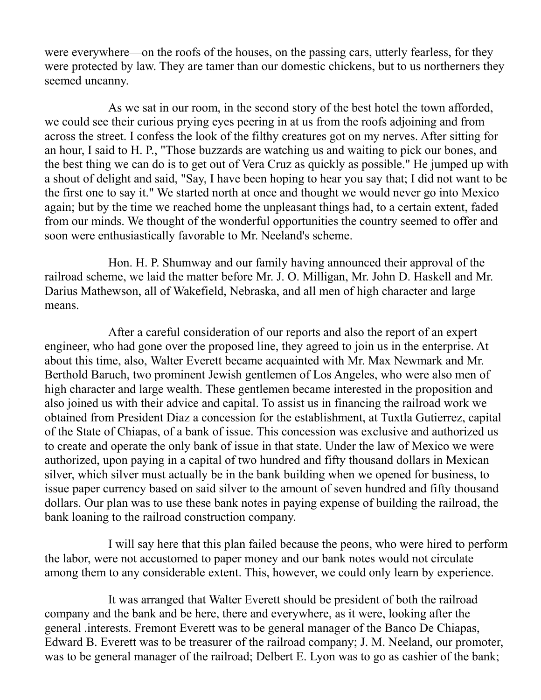were everywhere—on the roofs of the houses, on the passing cars, utterly fearless, for they were protected by law. They are tamer than our domestic chickens, but to us northerners they seemed uncanny.

As we sat in our room, in the second story of the best hotel the town afforded, we could see their curious prying eyes peering in at us from the roofs adjoining and from across the street. I confess the look of the filthy creatures got on my nerves. After sitting for an hour, I said to H. P., "Those buzzards are watching us and waiting to pick our bones, and the best thing we can do is to get out of Vera Cruz as quickly as possible." He jumped up with a shout of delight and said, "Say, I have been hoping to hear you say that; I did not want to be the first one to say it." We started north at once and thought we would never go into Mexico again; but by the time we reached home the unpleasant things had, to a certain extent, faded from our minds. We thought of the wonderful opportunities the country seemed to offer and soon were enthusiastically favorable to Mr. Neeland's scheme.

Hon. H. P. Shumway and our family having announced their approval of the railroad scheme, we laid the matter before Mr. J. O. Milligan, Mr. John D. Haskell and Mr. Darius Mathewson, all of Wakefield, Nebraska, and all men of high character and large means.

After a careful consideration of our reports and also the report of an expert engineer, who had gone over the proposed line, they agreed to join us in the enterprise. At about this time, also, Walter Everett became acquainted with Mr. Max Newmark and Mr. Berthold Baruch, two prominent Jewish gentlemen of Los Angeles, who were also men of high character and large wealth. These gentlemen became interested in the proposition and also joined us with their advice and capital. To assist us in financing the railroad work we obtained from President Diaz a concession for the establishment, at Tuxtla Gutierrez, capital of the State of Chiapas, of a bank of issue. This concession was exclusive and authorized us to create and operate the only bank of issue in that state. Under the law of Mexico we were authorized, upon paying in a capital of two hundred and fifty thousand dollars in Mexican silver, which silver must actually be in the bank building when we opened for business, to issue paper currency based on said silver to the amount of seven hundred and fifty thousand dollars. Our plan was to use these bank notes in paying expense of building the railroad, the bank loaning to the railroad construction company.

I will say here that this plan failed because the peons, who were hired to perform the labor, were not accustomed to paper money and our bank notes would not circulate among them to any considerable extent. This, however, we could only learn by experience.

It was arranged that Walter Everett should be president of both the railroad company and the bank and be here, there and everywhere, as it were, looking after the general .interests. Fremont Everett was to be general manager of the Banco De Chiapas, Edward B. Everett was to be treasurer of the railroad company; J. M. Neeland, our promoter, was to be general manager of the railroad; Delbert E. Lyon was to go as cashier of the bank;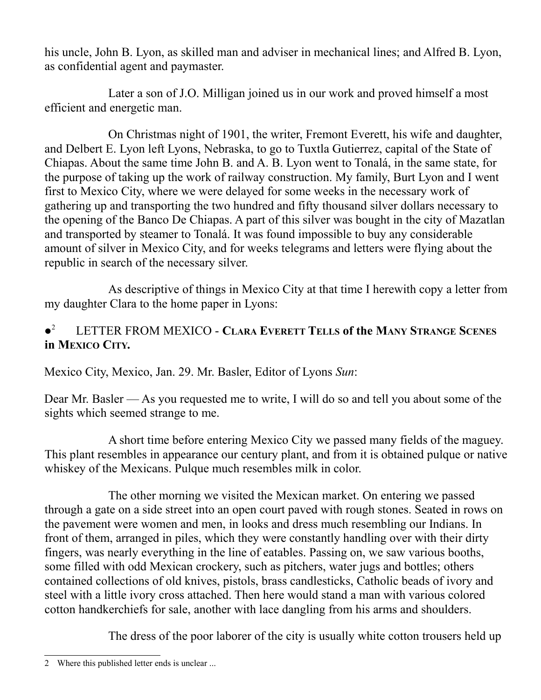his uncle, John B. Lyon, as skilled man and adviser in mechanical lines; and Alfred B. Lyon, as confidential agent and paymaster.

Later a son of J.O. Milligan joined us in our work and proved himself a most efficient and energetic man.

On Christmas night of 1901, the writer, Fremont Everett, his wife and daughter, and Delbert E. Lyon left Lyons, Nebraska, to go to Tuxtla Gutierrez, capital of the State of Chiapas. About the same time John B. and A. B. Lyon went to Tonalá, in the same state, for the purpose of taking up the work of railway construction. My family, Burt Lyon and I went first to Mexico City, where we were delayed for some weeks in the necessary work of gathering up and transporting the two hundred and fifty thousand silver dollars necessary to the opening of the Banco De Chiapas. A part of this silver was bought in the city of Mazatlan and transported by steamer to Tonalá. It was found impossible to buy any considerable amount of silver in Mexico City, and for weeks telegrams and letters were flying about the republic in search of the necessary silver.

As descriptive of things in Mexico City at that time I herewith copy a letter from my daughter Clara to the home paper in Lyons:

#### $\bullet^2$ [2](#page-5-0) LETTER FROM MEXICO - **CLARA EVERETT TELLS of the MANY STRANGE SCENES in MEXICO CITY.**

Mexico City, Mexico, Jan. 29. Mr. Basler, Editor of Lyons *Sun*:

Dear Mr. Basler — As you requested me to write, I will do so and tell you about some of the sights which seemed strange to me.

A short time before entering Mexico City we passed many fields of the maguey. This plant resembles in appearance our century plant, and from it is obtained pulque or native whiskey of the Mexicans. Pulque much resembles milk in color.

The other morning we visited the Mexican market. On entering we passed through a gate on a side street into an open court paved with rough stones. Seated in rows on the pavement were women and men, in looks and dress much resembling our Indians. In front of them, arranged in piles, which they were constantly handling over with their dirty fingers, was nearly everything in the line of eatables. Passing on, we saw various booths, some filled with odd Mexican crockery, such as pitchers, water jugs and bottles; others contained collections of old knives, pistols, brass candlesticks, Catholic beads of ivory and steel with a little ivory cross attached. Then here would stand a man with various colored cotton handkerchiefs for sale, another with lace dangling from his arms and shoulders.

The dress of the poor laborer of the city is usually white cotton trousers held up

<span id="page-5-0"></span><sup>2</sup> Where this published letter ends is unclear ...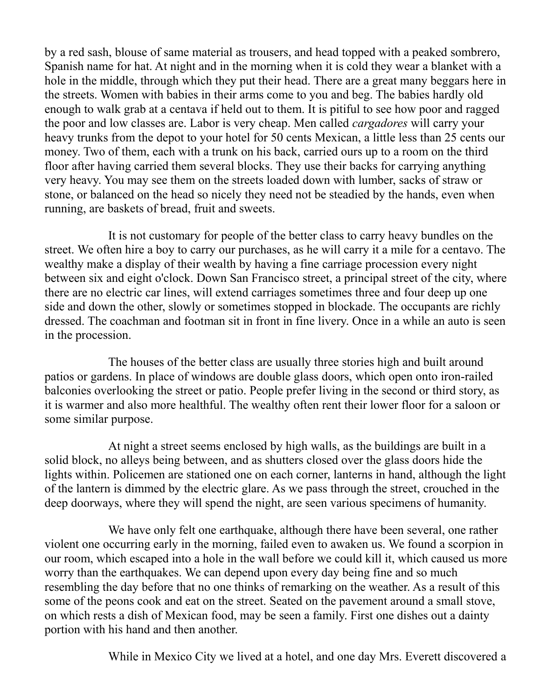by a red sash, blouse of same material as trousers, and head topped with a peaked sombrero, Spanish name for hat. At night and in the morning when it is cold they wear a blanket with a hole in the middle, through which they put their head. There are a great many beggars here in the streets. Women with babies in their arms come to you and beg. The babies hardly old enough to walk grab at a centava if held out to them. It is pitiful to see how poor and ragged the poor and low classes are. Labor is very cheap. Men called *cargadores* will carry your heavy trunks from the depot to your hotel for 50 cents Mexican, a little less than 25 cents our money. Two of them, each with a trunk on his back, carried ours up to a room on the third floor after having carried them several blocks. They use their backs for carrying anything very heavy. You may see them on the streets loaded down with lumber, sacks of straw or stone, or balanced on the head so nicely they need not be steadied by the hands, even when running, are baskets of bread, fruit and sweets.

It is not customary for people of the better class to carry heavy bundles on the street. We often hire a boy to carry our purchases, as he will carry it a mile for a centavo. The wealthy make a display of their wealth by having a fine carriage procession every night between six and eight o'clock. Down San Francisco street, a principal street of the city, where there are no electric car lines, will extend carriages sometimes three and four deep up one side and down the other, slowly or sometimes stopped in blockade. The occupants are richly dressed. The coachman and footman sit in front in fine livery. Once in a while an auto is seen in the procession.

The houses of the better class are usually three stories high and built around patios or gardens. In place of windows are double glass doors, which open onto iron-railed balconies overlooking the street or patio. People prefer living in the second or third story, as it is warmer and also more healthful. The wealthy often rent their lower floor for a saloon or some similar purpose.

At night a street seems enclosed by high walls, as the buildings are built in a solid block, no alleys being between, and as shutters closed over the glass doors hide the lights within. Policemen are stationed one on each corner, lanterns in hand, although the light of the lantern is dimmed by the electric glare. As we pass through the street, crouched in the deep doorways, where they will spend the night, are seen various specimens of humanity.

We have only felt one earthquake, although there have been several, one rather violent one occurring early in the morning, failed even to awaken us. We found a scorpion in our room, which escaped into a hole in the wall before we could kill it, which caused us more worry than the earthquakes. We can depend upon every day being fine and so much resembling the day before that no one thinks of remarking on the weather. As a result of this some of the peons cook and eat on the street. Seated on the pavement around a small stove, on which rests a dish of Mexican food, may be seen a family. First one dishes out a dainty portion with his hand and then another.

While in Mexico City we lived at a hotel, and one day Mrs. Everett discovered a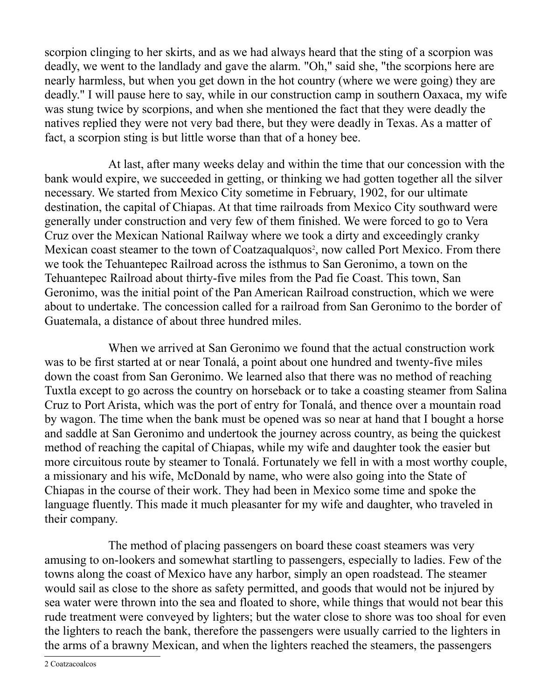scorpion clinging to her skirts, and as we had always heard that the sting of a scorpion was deadly, we went to the landlady and gave the alarm. "Oh," said she, "the scorpions here are nearly harmless, but when you get down in the hot country (where we were going) they are deadly." I will pause here to say, while in our construction camp in southern Oaxaca, my wife was stung twice by scorpions, and when she mentioned the fact that they were deadly the natives replied they were not very bad there, but they were deadly in Texas. As a matter of fact, a scorpion sting is but little worse than that of a honey bee.

At last, after many weeks delay and within the time that our concession with the bank would expire, we succeeded in getting, or thinking we had gotten together all the silver necessary. We started from Mexico City sometime in February, 1902, for our ultimate destination, the capital of Chiapas. At that time railroads from Mexico City southward were generally under construction and very few of them finished. We were forced to go to Vera Cruz over the Mexican National Railway where we took a dirty and exceedingly cranky Mexican coast steamer to the town of Coatzaqualquos<sup>[2](#page-7-0)</sup>, now called Port Mexico. From there we took the Tehuantepec Railroad across the isthmus to San Geronimo, a town on the Tehuantepec Railroad about thirty-five miles from the Pad fie Coast. This town, San Geronimo, was the initial point of the Pan American Railroad construction, which we were about to undertake. The concession called for a railroad from San Geronimo to the border of Guatemala, a distance of about three hundred miles.

When we arrived at San Geronimo we found that the actual construction work was to be first started at or near Tonalá, a point about one hundred and twenty-five miles down the coast from San Geronimo. We learned also that there was no method of reaching Tuxtla except to go across the country on horseback or to take a coasting steamer from Salina Cruz to Port Arista, which was the port of entry for Tonalá, and thence over a mountain road by wagon. The time when the bank must be opened was so near at hand that I bought a horse and saddle at San Geronimo and undertook the journey across country, as being the quickest method of reaching the capital of Chiapas, while my wife and daughter took the easier but more circuitous route by steamer to Tonalá. Fortunately we fell in with a most worthy couple, a missionary and his wife, McDonald by name, who were also going into the State of Chiapas in the course of their work. They had been in Mexico some time and spoke the language fluently. This made it much pleasanter for my wife and daughter, who traveled in their company.

The method of placing passengers on board these coast steamers was very amusing to on-lookers and somewhat startling to passengers, especially to ladies. Few of the towns along the coast of Mexico have any harbor, simply an open roadstead. The steamer would sail as close to the shore as safety permitted, and goods that would not be injured by sea water were thrown into the sea and floated to shore, while things that would not bear this rude treatment were conveyed by lighters; but the water close to shore was too shoal for even the lighters to reach the bank, therefore the passengers were usually carried to the lighters in the arms of a brawny Mexican, and when the lighters reached the steamers, the passengers

<span id="page-7-0"></span>2 Coatzacoalcos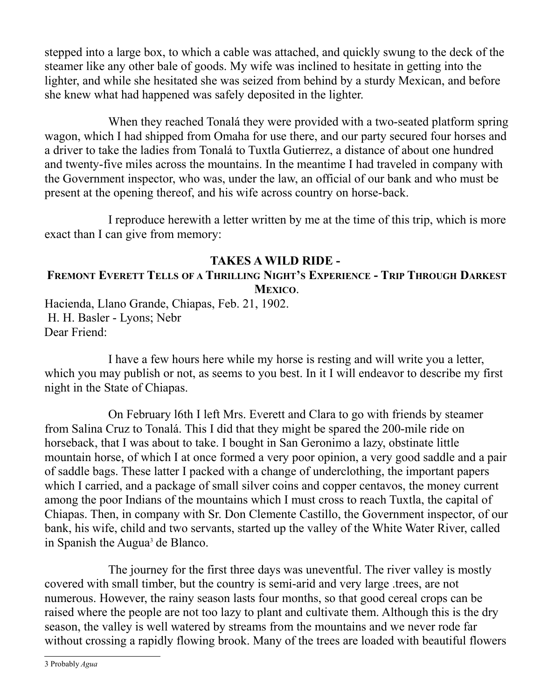stepped into a large box, to which a cable was attached, and quickly swung to the deck of the steamer like any other bale of goods. My wife was inclined to hesitate in getting into the lighter, and while she hesitated she was seized from behind by a sturdy Mexican, and before she knew what had happened was safely deposited in the lighter.

When they reached Tonalá they were provided with a two-seated platform spring wagon, which I had shipped from Omaha for use there, and our party secured four horses and a driver to take the ladies from Tonalá to Tuxtla Gutierrez, a distance of about one hundred and twenty-five miles across the mountains. In the meantime I had traveled in company with the Government inspector, who was, under the law, an official of our bank and who must be present at the opening thereof, and his wife across country on horse-back.

I reproduce herewith a letter written by me at the time of this trip, which is more exact than I can give from memory:

#### **TAKES A WILD RIDE -**

#### FREMONT EVERETT TELLS OF A THRILLING NIGHT'S EXPERIENCE - TRIP THROUGH DARKEST **MEXICO**.

Hacienda, Llano Grande, Chiapas, Feb. 21, 1902. H. H. Basler - Lyons; Nebr Dear Friend:

I have a few hours here while my horse is resting and will write you a letter, which you may publish or not, as seems to you best. In it I will endeavor to describe my first night in the State of Chiapas.

On February l6th I left Mrs. Everett and Clara to go with friends by steamer from Salina Cruz to Tonalá. This I did that they might be spared the 200-mile ride on horseback, that I was about to take. I bought in San Geronimo a lazy, obstinate little mountain horse, of which I at once formed a very poor opinion, a very good saddle and a pair of saddle bags. These latter I packed with a change of underclothing, the important papers which I carried, and a package of small silver coins and copper centavos, the money current among the poor Indians of the mountains which I must cross to reach Tuxtla, the capital of Chiapas. Then, in company with Sr. Don Clemente Castillo, the Government inspector, of our bank, his wife, child and two servants, started up the valley of the White Water River, called in Spanish the Augua<sup>[3](#page-8-0)</sup> de Blanco.

The journey for the first three days was uneventful. The river valley is mostly covered with small timber, but the country is semi-arid and very large .trees, are not numerous. However, the rainy season lasts four months, so that good cereal crops can be raised where the people are not too lazy to plant and cultivate them. Although this is the dry season, the valley is well watered by streams from the mountains and we never rode far without crossing a rapidly flowing brook. Many of the trees are loaded with beautiful flowers

<span id="page-8-0"></span>3 Probably *Agua*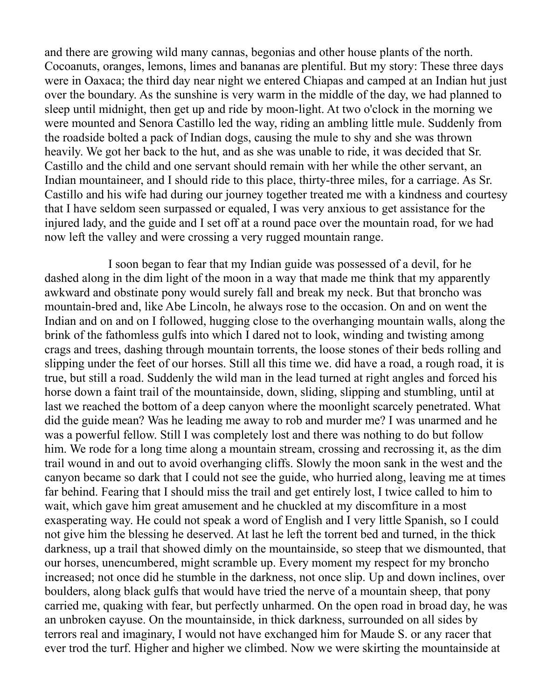and there are growing wild many cannas, begonias and other house plants of the north. Cocoanuts, oranges, lemons, limes and bananas are plentiful. But my story: These three days were in Oaxaca; the third day near night we entered Chiapas and camped at an Indian hut just over the boundary. As the sunshine is very warm in the middle of the day, we had planned to sleep until midnight, then get up and ride by moon-light. At two o'clock in the morning we were mounted and Senora Castillo led the way, riding an ambling little mule. Suddenly from the roadside bolted a pack of Indian dogs, causing the mule to shy and she was thrown heavily. We got her back to the hut, and as she was unable to ride, it was decided that Sr. Castillo and the child and one servant should remain with her while the other servant, an Indian mountaineer, and I should ride to this place, thirty-three miles, for a carriage. As Sr. Castillo and his wife had during our journey together treated me with a kindness and courtesy that I have seldom seen surpassed or equaled, I was very anxious to get assistance for the injured lady, and the guide and I set off at a round pace over the mountain road, for we had now left the valley and were crossing a very rugged mountain range.

I soon began to fear that my Indian guide was possessed of a devil, for he dashed along in the dim light of the moon in a way that made me think that my apparently awkward and obstinate pony would surely fall and break my neck. But that broncho was mountain-bred and, like Abe Lincoln, he always rose to the occasion. On and on went the Indian and on and on I followed, hugging close to the overhanging mountain walls, along the brink of the fathomless gulfs into which I dared not to look, winding and twisting among crags and trees, dashing through mountain torrents, the loose stones of their beds rolling and slipping under the feet of our horses. Still all this time we. did have a road, a rough road, it is true, but still a road. Suddenly the wild man in the lead turned at right angles and forced his horse down a faint trail of the mountainside, down, sliding, slipping and stumbling, until at last we reached the bottom of a deep canyon where the moonlight scarcely penetrated. What did the guide mean? Was he leading me away to rob and murder me? I was unarmed and he was a powerful fellow. Still I was completely lost and there was nothing to do but follow him. We rode for a long time along a mountain stream, crossing and recrossing it, as the dim trail wound in and out to avoid overhanging cliffs. Slowly the moon sank in the west and the canyon became so dark that I could not see the guide, who hurried along, leaving me at times far behind. Fearing that I should miss the trail and get entirely lost, I twice called to him to wait, which gave him great amusement and he chuckled at my discomfiture in a most exasperating way. He could not speak a word of English and I very little Spanish, so I could not give him the blessing he deserved. At last he left the torrent bed and turned, in the thick darkness, up a trail that showed dimly on the mountainside, so steep that we dismounted, that our horses, unencumbered, might scramble up. Every moment my respect for my broncho increased; not once did he stumble in the darkness, not once slip. Up and down inclines, over boulders, along black gulfs that would have tried the nerve of a mountain sheep, that pony carried me, quaking with fear, but perfectly unharmed. On the open road in broad day, he was an unbroken cayuse. On the mountainside, in thick darkness, surrounded on all sides by terrors real and imaginary, I would not have exchanged him for Maude S. or any racer that ever trod the turf. Higher and higher we climbed. Now we were skirting the mountainside at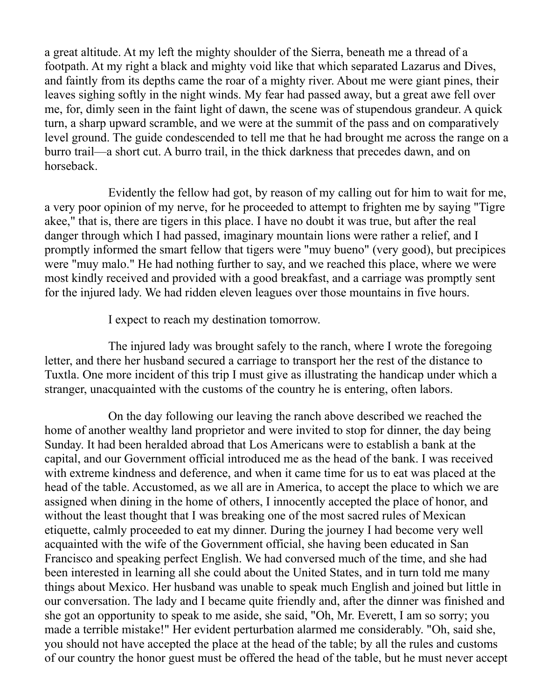a great altitude. At my left the mighty shoulder of the Sierra, beneath me a thread of a footpath. At my right a black and mighty void like that which separated Lazarus and Dives, and faintly from its depths came the roar of a mighty river. About me were giant pines, their leaves sighing softly in the night winds. My fear had passed away, but a great awe fell over me, for, dimly seen in the faint light of dawn, the scene was of stupendous grandeur. A quick turn, a sharp upward scramble, and we were at the summit of the pass and on comparatively level ground. The guide condescended to tell me that he had brought me across the range on a burro trail—a short cut. A burro trail, in the thick darkness that precedes dawn, and on horseback.

Evidently the fellow had got, by reason of my calling out for him to wait for me, a very poor opinion of my nerve, for he proceeded to attempt to frighten me by saying "Tigre akee," that is, there are tigers in this place. I have no doubt it was true, but after the real danger through which I had passed, imaginary mountain lions were rather a relief, and I promptly informed the smart fellow that tigers were "muy bueno" (very good), but precipices were "muy malo." He had nothing further to say, and we reached this place, where we were most kindly received and provided with a good breakfast, and a carriage was promptly sent for the injured lady. We had ridden eleven leagues over those mountains in five hours.

I expect to reach my destination tomorrow.

The injured lady was brought safely to the ranch, where I wrote the foregoing letter, and there her husband secured a carriage to transport her the rest of the distance to Tuxtla. One more incident of this trip I must give as illustrating the handicap under which a stranger, unacquainted with the customs of the country he is entering, often labors.

On the day following our leaving the ranch above described we reached the home of another wealthy land proprietor and were invited to stop for dinner, the day being Sunday. It had been heralded abroad that Los Americans were to establish a bank at the capital, and our Government official introduced me as the head of the bank. I was received with extreme kindness and deference, and when it came time for us to eat was placed at the head of the table. Accustomed, as we all are in America, to accept the place to which we are assigned when dining in the home of others, I innocently accepted the place of honor, and without the least thought that I was breaking one of the most sacred rules of Mexican etiquette, calmly proceeded to eat my dinner. During the journey I had become very well acquainted with the wife of the Government official, she having been educated in San Francisco and speaking perfect English. We had conversed much of the time, and she had been interested in learning all she could about the United States, and in turn told me many things about Mexico. Her husband was unable to speak much English and joined but little in our conversation. The lady and I became quite friendly and, after the dinner was finished and she got an opportunity to speak to me aside, she said, "Oh, Mr. Everett, I am so sorry; you made a terrible mistake!" Her evident perturbation alarmed me considerably. "Oh, said she, you should not have accepted the place at the head of the table; by all the rules and customs of our country the honor guest must be offered the head of the table, but he must never accept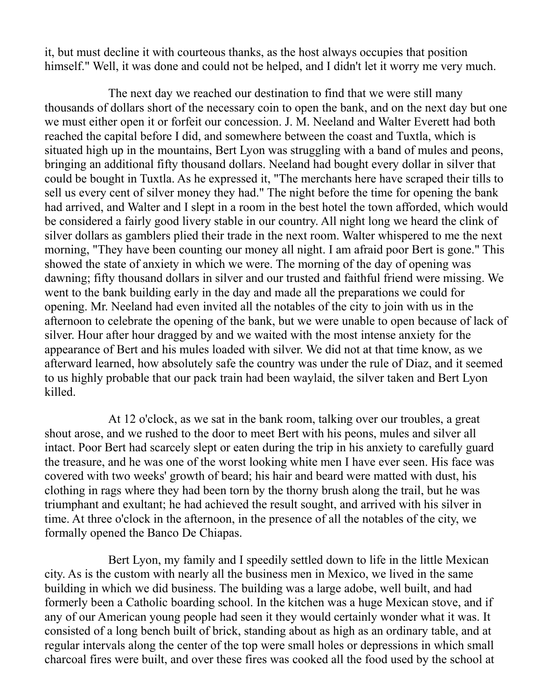it, but must decline it with courteous thanks, as the host always occupies that position himself." Well, it was done and could not be helped, and I didn't let it worry me very much.

The next day we reached our destination to find that we were still many thousands of dollars short of the necessary coin to open the bank, and on the next day but one we must either open it or forfeit our concession. J. M. Neeland and Walter Everett had both reached the capital before I did, and somewhere between the coast and Tuxtla, which is situated high up in the mountains, Bert Lyon was struggling with a band of mules and peons, bringing an additional fifty thousand dollars. Neeland had bought every dollar in silver that could be bought in Tuxtla. As he expressed it, "The merchants here have scraped their tills to sell us every cent of silver money they had." The night before the time for opening the bank had arrived, and Walter and I slept in a room in the best hotel the town afforded, which would be considered a fairly good livery stable in our country. All night long we heard the clink of silver dollars as gamblers plied their trade in the next room. Walter whispered to me the next morning, "They have been counting our money all night. I am afraid poor Bert is gone." This showed the state of anxiety in which we were. The morning of the day of opening was dawning; fifty thousand dollars in silver and our trusted and faithful friend were missing. We went to the bank building early in the day and made all the preparations we could for opening. Mr. Neeland had even invited all the notables of the city to join with us in the afternoon to celebrate the opening of the bank, but we were unable to open because of lack of silver. Hour after hour dragged by and we waited with the most intense anxiety for the appearance of Bert and his mules loaded with silver. We did not at that time know, as we afterward learned, how absolutely safe the country was under the rule of Diaz, and it seemed to us highly probable that our pack train had been waylaid, the silver taken and Bert Lyon killed.

At 12 o'clock, as we sat in the bank room, talking over our troubles, a great shout arose, and we rushed to the door to meet Bert with his peons, mules and silver all intact. Poor Bert had scarcely slept or eaten during the trip in his anxiety to carefully guard the treasure, and he was one of the worst looking white men I have ever seen. His face was covered with two weeks' growth of beard; his hair and beard were matted with dust, his clothing in rags where they had been torn by the thorny brush along the trail, but he was triumphant and exultant; he had achieved the result sought, and arrived with his silver in time. At three o'clock in the afternoon, in the presence of all the notables of the city, we formally opened the Banco De Chiapas.

Bert Lyon, my family and I speedily settled down to life in the little Mexican city. As is the custom with nearly all the business men in Mexico, we lived in the same building in which we did business. The building was a large adobe, well built, and had formerly been a Catholic boarding school. In the kitchen was a huge Mexican stove, and if any of our American young people had seen it they would certainly wonder what it was. It consisted of a long bench built of brick, standing about as high as an ordinary table, and at regular intervals along the center of the top were small holes or depressions in which small charcoal fires were built, and over these fires was cooked all the food used by the school at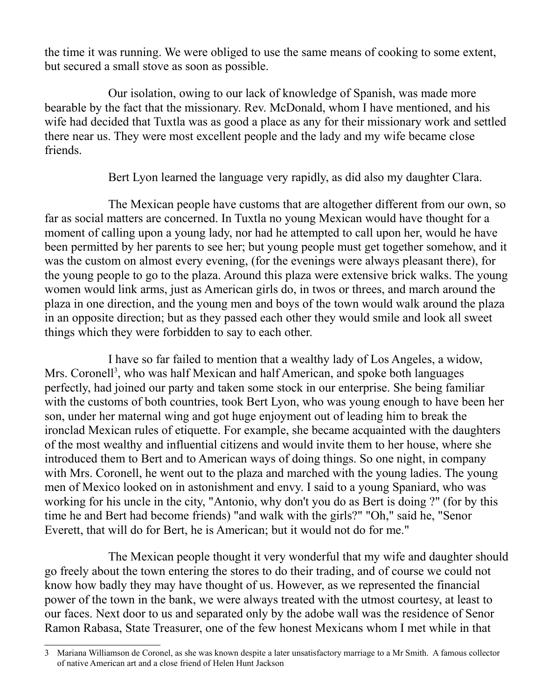the time it was running. We were obliged to use the same means of cooking to some extent, but secured a small stove as soon as possible.

Our isolation, owing to our lack of knowledge of Spanish, was made more bearable by the fact that the missionary. Rev. McDonald, whom I have mentioned, and his wife had decided that Tuxtla was as good a place as any for their missionary work and settled there near us. They were most excellent people and the lady and my wife became close friends.

Bert Lyon learned the language very rapidly, as did also my daughter Clara.

The Mexican people have customs that are altogether different from our own, so far as social matters are concerned. In Tuxtla no young Mexican would have thought for a moment of calling upon a young lady, nor had he attempted to call upon her, would he have been permitted by her parents to see her; but young people must get together somehow, and it was the custom on almost every evening, (for the evenings were always pleasant there), for the young people to go to the plaza. Around this plaza were extensive brick walks. The young women would link arms, just as American girls do, in twos or threes, and march around the plaza in one direction, and the young men and boys of the town would walk around the plaza in an opposite direction; but as they passed each other they would smile and look all sweet things which they were forbidden to say to each other.

I have so far failed to mention that a wealthy lady of Los Angeles, a widow, Mrs. Coronell<sup>[3](#page-12-0)</sup>, who was half Mexican and half American, and spoke both languages perfectly, had joined our party and taken some stock in our enterprise. She being familiar with the customs of both countries, took Bert Lyon, who was young enough to have been her son, under her maternal wing and got huge enjoyment out of leading him to break the ironclad Mexican rules of etiquette. For example, she became acquainted with the daughters of the most wealthy and influential citizens and would invite them to her house, where she introduced them to Bert and to American ways of doing things. So one night, in company with Mrs. Coronell, he went out to the plaza and marched with the young ladies. The young men of Mexico looked on in astonishment and envy. I said to a young Spaniard, who was working for his uncle in the city, "Antonio, why don't you do as Bert is doing ?" (for by this time he and Bert had become friends) "and walk with the girls?" "Oh," said he, "Senor Everett, that will do for Bert, he is American; but it would not do for me."

The Mexican people thought it very wonderful that my wife and daughter should go freely about the town entering the stores to do their trading, and of course we could not know how badly they may have thought of us. However, as we represented the financial power of the town in the bank, we were always treated with the utmost courtesy, at least to our faces. Next door to us and separated only by the adobe wall was the residence of Senor Ramon Rabasa, State Treasurer, one of the few honest Mexicans whom I met while in that

<span id="page-12-0"></span><sup>3</sup> Mariana Williamson de Coronel, as she was known despite a later unsatisfactory marriage to a Mr Smith. A famous collector of native American art and a close friend of Helen Hunt Jackson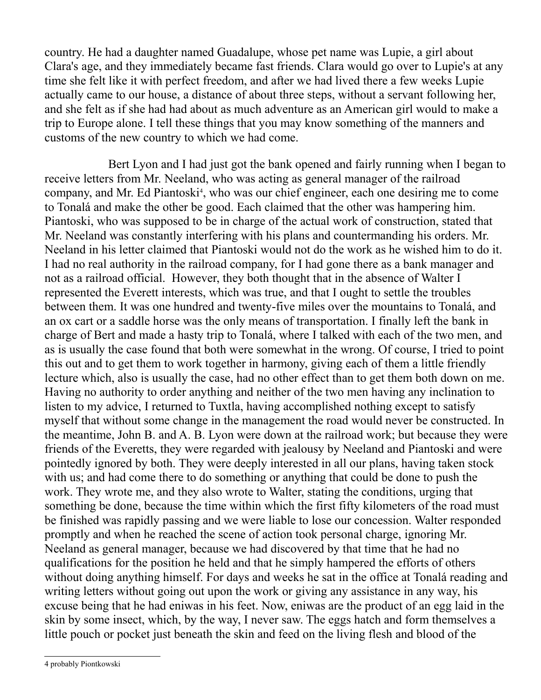country. He had a daughter named Guadalupe, whose pet name was Lupie, a girl about Clara's age, and they immediately became fast friends. Clara would go over to Lupie's at any time she felt like it with perfect freedom, and after we had lived there a few weeks Lupie actually came to our house, a distance of about three steps, without a servant following her, and she felt as if she had had about as much adventure as an American girl would to make a trip to Europe alone. I tell these things that you may know something of the manners and customs of the new country to which we had come.

Bert Lyon and I had just got the bank opened and fairly running when I began to receive letters from Mr. Neeland, who was acting as general manager of the railroad company, and Mr. Ed Piantoski<sup>[4](#page-13-0)</sup>, who was our chief engineer, each one desiring me to come to Tonalá and make the other be good. Each claimed that the other was hampering him. Piantoski, who was supposed to be in charge of the actual work of construction, stated that Mr. Neeland was constantly interfering with his plans and countermanding his orders. Mr. Neeland in his letter claimed that Piantoski would not do the work as he wished him to do it. I had no real authority in the railroad company, for I had gone there as a bank manager and not as a railroad official. However, they both thought that in the absence of Walter I represented the Everett interests, which was true, and that I ought to settle the troubles between them. It was one hundred and twenty-five miles over the mountains to Tonalá, and an ox cart or a saddle horse was the only means of transportation. I finally left the bank in charge of Bert and made a hasty trip to Tonalá, where I talked with each of the two men, and as is usually the case found that both were somewhat in the wrong. Of course, I tried to point this out and to get them to work together in harmony, giving each of them a little friendly lecture which, also is usually the case, had no other effect than to get them both down on me. Having no authority to order anything and neither of the two men having any inclination to listen to my advice, I returned to Tuxtla, having accomplished nothing except to satisfy myself that without some change in the management the road would never be constructed. In the meantime, John B. and A. B. Lyon were down at the railroad work; but because they were friends of the Everetts, they were regarded with jealousy by Neeland and Piantoski and were pointedly ignored by both. They were deeply interested in all our plans, having taken stock with us; and had come there to do something or anything that could be done to push the work. They wrote me, and they also wrote to Walter, stating the conditions, urging that something be done, because the time within which the first fifty kilometers of the road must be finished was rapidly passing and we were liable to lose our concession. Walter responded promptly and when he reached the scene of action took personal charge, ignoring Mr. Neeland as general manager, because we had discovered by that time that he had no qualifications for the position he held and that he simply hampered the efforts of others without doing anything himself. For days and weeks he sat in the office at Tonalá reading and writing letters without going out upon the work or giving any assistance in any way, his excuse being that he had eniwas in his feet. Now, eniwas are the product of an egg laid in the skin by some insect, which, by the way, I never saw. The eggs hatch and form themselves a little pouch or pocket just beneath the skin and feed on the living flesh and blood of the

<span id="page-13-0"></span>4 probably Piontkowski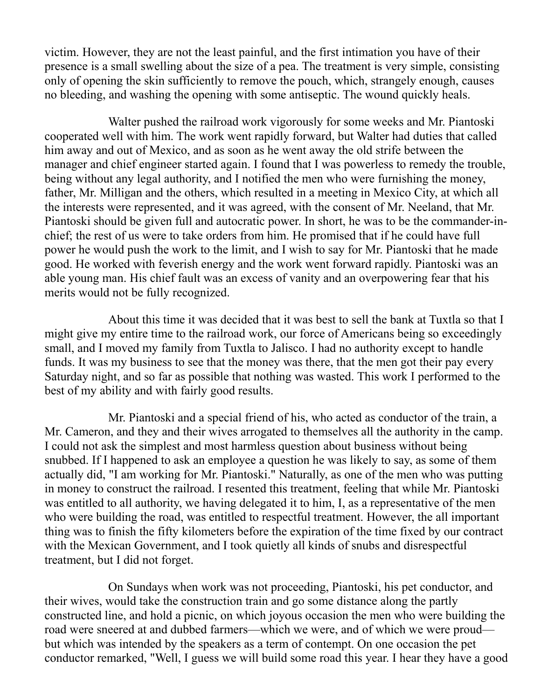victim. However, they are not the least painful, and the first intimation you have of their presence is a small swelling about the size of a pea. The treatment is very simple, consisting only of opening the skin sufficiently to remove the pouch, which, strangely enough, causes no bleeding, and washing the opening with some antiseptic. The wound quickly heals.

Walter pushed the railroad work vigorously for some weeks and Mr. Piantoski cooperated well with him. The work went rapidly forward, but Walter had duties that called him away and out of Mexico, and as soon as he went away the old strife between the manager and chief engineer started again. I found that I was powerless to remedy the trouble, being without any legal authority, and I notified the men who were furnishing the money, father, Mr. Milligan and the others, which resulted in a meeting in Mexico City, at which all the interests were represented, and it was agreed, with the consent of Mr. Neeland, that Mr. Piantoski should be given full and autocratic power. In short, he was to be the commander-inchief; the rest of us were to take orders from him. He promised that if he could have full power he would push the work to the limit, and I wish to say for Mr. Piantoski that he made good. He worked with feverish energy and the work went forward rapidly. Piantoski was an able young man. His chief fault was an excess of vanity and an overpowering fear that his merits would not be fully recognized.

About this time it was decided that it was best to sell the bank at Tuxtla so that I might give my entire time to the railroad work, our force of Americans being so exceedingly small, and I moved my family from Tuxtla to Jalisco. I had no authority except to handle funds. It was my business to see that the money was there, that the men got their pay every Saturday night, and so far as possible that nothing was wasted. This work I performed to the best of my ability and with fairly good results.

Mr. Piantoski and a special friend of his, who acted as conductor of the train, a Mr. Cameron, and they and their wives arrogated to themselves all the authority in the camp. I could not ask the simplest and most harmless question about business without being snubbed. If I happened to ask an employee a question he was likely to say, as some of them actually did, "I am working for Mr. Piantoski." Naturally, as one of the men who was putting in money to construct the railroad. I resented this treatment, feeling that while Mr. Piantoski was entitled to all authority, we having delegated it to him, I, as a representative of the men who were building the road, was entitled to respectful treatment. However, the all important thing was to finish the fifty kilometers before the expiration of the time fixed by our contract with the Mexican Government, and I took quietly all kinds of snubs and disrespectful treatment, but I did not forget.

On Sundays when work was not proceeding, Piantoski, his pet conductor, and their wives, would take the construction train and go some distance along the partly constructed line, and hold a picnic, on which joyous occasion the men who were building the road were sneered at and dubbed farmers—which we were, and of which we were proud but which was intended by the speakers as a term of contempt. On one occasion the pet conductor remarked, "Well, I guess we will build some road this year. I hear they have a good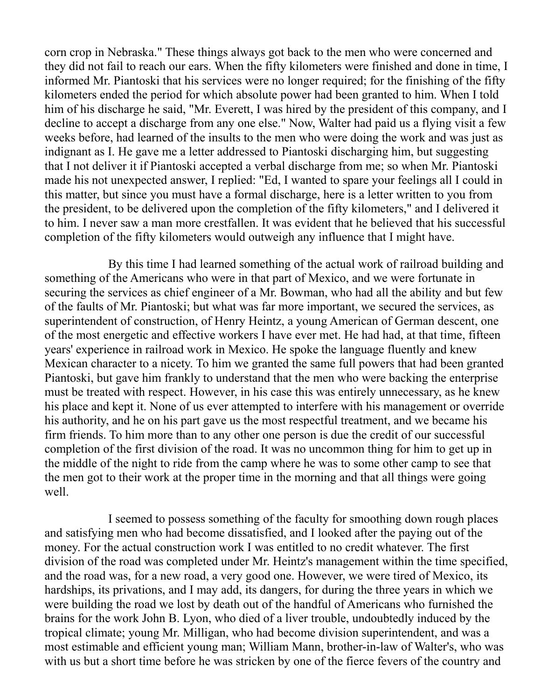corn crop in Nebraska." These things always got back to the men who were concerned and they did not fail to reach our ears. When the fifty kilometers were finished and done in time, I informed Mr. Piantoski that his services were no longer required; for the finishing of the fifty kilometers ended the period for which absolute power had been granted to him. When I told him of his discharge he said, "Mr. Everett, I was hired by the president of this company, and I decline to accept a discharge from any one else." Now, Walter had paid us a flying visit a few weeks before, had learned of the insults to the men who were doing the work and was just as indignant as I. He gave me a letter addressed to Piantoski discharging him, but suggesting that I not deliver it if Piantoski accepted a verbal discharge from me; so when Mr. Piantoski made his not unexpected answer, I replied: "Ed, I wanted to spare your feelings all I could in this matter, but since you must have a formal discharge, here is a letter written to you from the president, to be delivered upon the completion of the fifty kilometers," and I delivered it to him. I never saw a man more crestfallen. It was evident that he believed that his successful completion of the fifty kilometers would outweigh any influence that I might have.

By this time I had learned something of the actual work of railroad building and something of the Americans who were in that part of Mexico, and we were fortunate in securing the services as chief engineer of a Mr. Bowman, who had all the ability and but few of the faults of Mr. Piantoski; but what was far more important, we secured the services, as superintendent of construction, of Henry Heintz, a young American of German descent, one of the most energetic and effective workers I have ever met. He had had, at that time, fifteen years' experience in railroad work in Mexico. He spoke the language fluently and knew Mexican character to a nicety. To him we granted the same full powers that had been granted Piantoski, but gave him frankly to understand that the men who were backing the enterprise must be treated with respect. However, in his case this was entirely unnecessary, as he knew his place and kept it. None of us ever attempted to interfere with his management or override his authority, and he on his part gave us the most respectful treatment, and we became his firm friends. To him more than to any other one person is due the credit of our successful completion of the first division of the road. It was no uncommon thing for him to get up in the middle of the night to ride from the camp where he was to some other camp to see that the men got to their work at the proper time in the morning and that all things were going well.

I seemed to possess something of the faculty for smoothing down rough places and satisfying men who had become dissatisfied, and I looked after the paying out of the money. For the actual construction work I was entitled to no credit whatever. The first division of the road was completed under Mr. Heintz's management within the time specified, and the road was, for a new road, a very good one. However, we were tired of Mexico, its hardships, its privations, and I may add, its dangers, for during the three years in which we were building the road we lost by death out of the handful of Americans who furnished the brains for the work John B. Lyon, who died of a liver trouble, undoubtedly induced by the tropical climate; young Mr. Milligan, who had become division superintendent, and was a most estimable and efficient young man; William Mann, brother-in-law of Walter's, who was with us but a short time before he was stricken by one of the fierce fevers of the country and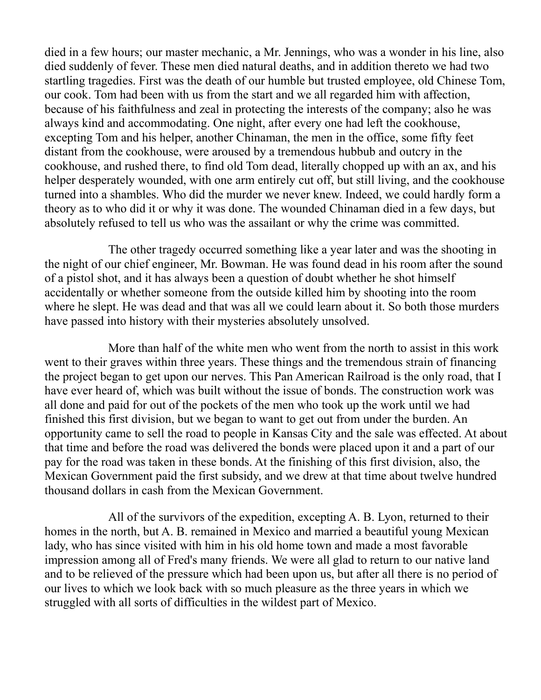died in a few hours; our master mechanic, a Mr. Jennings, who was a wonder in his line, also died suddenly of fever. These men died natural deaths, and in addition thereto we had two startling tragedies. First was the death of our humble but trusted employee, old Chinese Tom, our cook. Tom had been with us from the start and we all regarded him with affection, because of his faithfulness and zeal in protecting the interests of the company; also he was always kind and accommodating. One night, after every one had left the cookhouse, excepting Tom and his helper, another Chinaman, the men in the office, some fifty feet distant from the cookhouse, were aroused by a tremendous hubbub and outcry in the cookhouse, and rushed there, to find old Tom dead, literally chopped up with an ax, and his helper desperately wounded, with one arm entirely cut off, but still living, and the cookhouse turned into a shambles. Who did the murder we never knew. Indeed, we could hardly form a theory as to who did it or why it was done. The wounded Chinaman died in a few days, but absolutely refused to tell us who was the assailant or why the crime was committed.

The other tragedy occurred something like a year later and was the shooting in the night of our chief engineer, Mr. Bowman. He was found dead in his room after the sound of a pistol shot, and it has always been a question of doubt whether he shot himself accidentally or whether someone from the outside killed him by shooting into the room where he slept. He was dead and that was all we could learn about it. So both those murders have passed into history with their mysteries absolutely unsolved.

More than half of the white men who went from the north to assist in this work went to their graves within three years. These things and the tremendous strain of financing the project began to get upon our nerves. This Pan American Railroad is the only road, that I have ever heard of, which was built without the issue of bonds. The construction work was all done and paid for out of the pockets of the men who took up the work until we had finished this first division, but we began to want to get out from under the burden. An opportunity came to sell the road to people in Kansas City and the sale was effected. At about that time and before the road was delivered the bonds were placed upon it and a part of our pay for the road was taken in these bonds. At the finishing of this first division, also, the Mexican Government paid the first subsidy, and we drew at that time about twelve hundred thousand dollars in cash from the Mexican Government.

All of the survivors of the expedition, excepting A. B. Lyon, returned to their homes in the north, but A. B. remained in Mexico and married a beautiful young Mexican lady, who has since visited with him in his old home town and made a most favorable impression among all of Fred's many friends. We were all glad to return to our native land and to be relieved of the pressure which had been upon us, but after all there is no period of our lives to which we look back with so much pleasure as the three years in which we struggled with all sorts of difficulties in the wildest part of Mexico.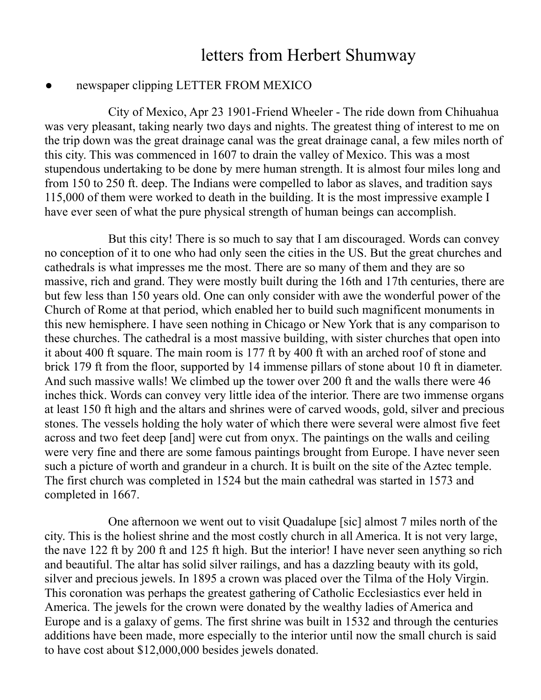# letters from Herbert Shumway

#### newspaper clipping LETTER FROM MEXICO

City of Mexico, Apr 23 1901-Friend Wheeler - The ride down from Chihuahua was very pleasant, taking nearly two days and nights. The greatest thing of interest to me on the trip down was the great drainage canal was the great drainage canal, a few miles north of this city. This was commenced in 1607 to drain the valley of Mexico. This was a most stupendous undertaking to be done by mere human strength. It is almost four miles long and from 150 to 250 ft. deep. The Indians were compelled to labor as slaves, and tradition says 115,000 of them were worked to death in the building. It is the most impressive example I have ever seen of what the pure physical strength of human beings can accomplish.

But this city! There is so much to say that I am discouraged. Words can convey no conception of it to one who had only seen the cities in the US. But the great churches and cathedrals is what impresses me the most. There are so many of them and they are so massive, rich and grand. They were mostly built during the 16th and 17th centuries, there are but few less than 150 years old. One can only consider with awe the wonderful power of the Church of Rome at that period, which enabled her to build such magnificent monuments in this new hemisphere. I have seen nothing in Chicago or New York that is any comparison to these churches. The cathedral is a most massive building, with sister churches that open into it about 400 ft square. The main room is 177 ft by 400 ft with an arched roof of stone and brick 179 ft from the floor, supported by 14 immense pillars of stone about 10 ft in diameter. And such massive walls! We climbed up the tower over 200 ft and the walls there were 46 inches thick. Words can convey very little idea of the interior. There are two immense organs at least 150 ft high and the altars and shrines were of carved woods, gold, silver and precious stones. The vessels holding the holy water of which there were several were almost five feet across and two feet deep [and] were cut from onyx. The paintings on the walls and ceiling were very fine and there are some famous paintings brought from Europe. I have never seen such a picture of worth and grandeur in a church. It is built on the site of the Aztec temple. The first church was completed in 1524 but the main cathedral was started in 1573 and completed in 1667.

One afternoon we went out to visit Quadalupe [sic] almost 7 miles north of the city. This is the holiest shrine and the most costly church in all America. It is not very large, the nave 122 ft by 200 ft and 125 ft high. But the interior! I have never seen anything so rich and beautiful. The altar has solid silver railings, and has a dazzling beauty with its gold, silver and precious jewels. In 1895 a crown was placed over the Tilma of the Holy Virgin. This coronation was perhaps the greatest gathering of Catholic Ecclesiastics ever held in America. The jewels for the crown were donated by the wealthy ladies of America and Europe and is a galaxy of gems. The first shrine was built in 1532 and through the centuries additions have been made, more especially to the interior until now the small church is said to have cost about \$12,000,000 besides jewels donated.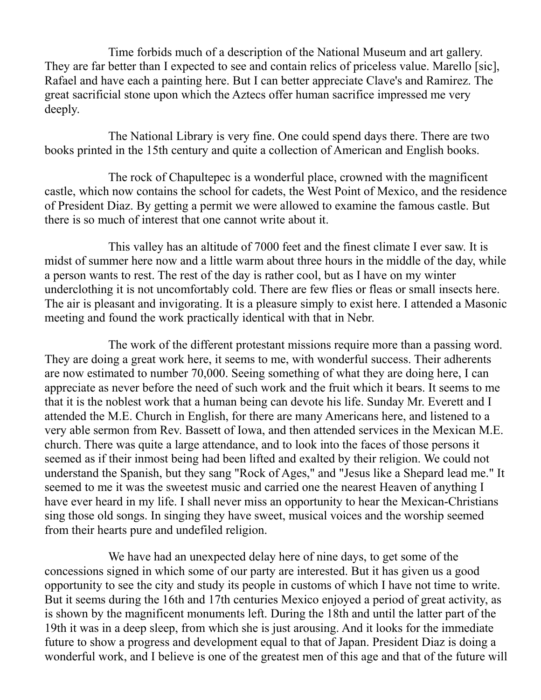Time forbids much of a description of the National Museum and art gallery. They are far better than I expected to see and contain relics of priceless value. Marello [sic], Rafael and have each a painting here. But I can better appreciate Clave's and Ramirez. The great sacrificial stone upon which the Aztecs offer human sacrifice impressed me very deeply.

The National Library is very fine. One could spend days there. There are two books printed in the 15th century and quite a collection of American and English books.

The rock of Chapultepec is a wonderful place, crowned with the magnificent castle, which now contains the school for cadets, the West Point of Mexico, and the residence of President Diaz. By getting a permit we were allowed to examine the famous castle. But there is so much of interest that one cannot write about it.

This valley has an altitude of 7000 feet and the finest climate I ever saw. It is midst of summer here now and a little warm about three hours in the middle of the day, while a person wants to rest. The rest of the day is rather cool, but as I have on my winter underclothing it is not uncomfortably cold. There are few flies or fleas or small insects here. The air is pleasant and invigorating. It is a pleasure simply to exist here. I attended a Masonic meeting and found the work practically identical with that in Nebr.

The work of the different protestant missions require more than a passing word. They are doing a great work here, it seems to me, with wonderful success. Their adherents are now estimated to number 70,000. Seeing something of what they are doing here, I can appreciate as never before the need of such work and the fruit which it bears. It seems to me that it is the noblest work that a human being can devote his life. Sunday Mr. Everett and I attended the M.E. Church in English, for there are many Americans here, and listened to a very able sermon from Rev. Bassett of Iowa, and then attended services in the Mexican M.E. church. There was quite a large attendance, and to look into the faces of those persons it seemed as if their inmost being had been lifted and exalted by their religion. We could not understand the Spanish, but they sang "Rock of Ages," and "Jesus like a Shepard lead me." It seemed to me it was the sweetest music and carried one the nearest Heaven of anything I have ever heard in my life. I shall never miss an opportunity to hear the Mexican-Christians sing those old songs. In singing they have sweet, musical voices and the worship seemed from their hearts pure and undefiled religion.

We have had an unexpected delay here of nine days, to get some of the concessions signed in which some of our party are interested. But it has given us a good opportunity to see the city and study its people in customs of which I have not time to write. But it seems during the 16th and 17th centuries Mexico enjoyed a period of great activity, as is shown by the magnificent monuments left. During the 18th and until the latter part of the 19th it was in a deep sleep, from which she is just arousing. And it looks for the immediate future to show a progress and development equal to that of Japan. President Diaz is doing a wonderful work, and I believe is one of the greatest men of this age and that of the future will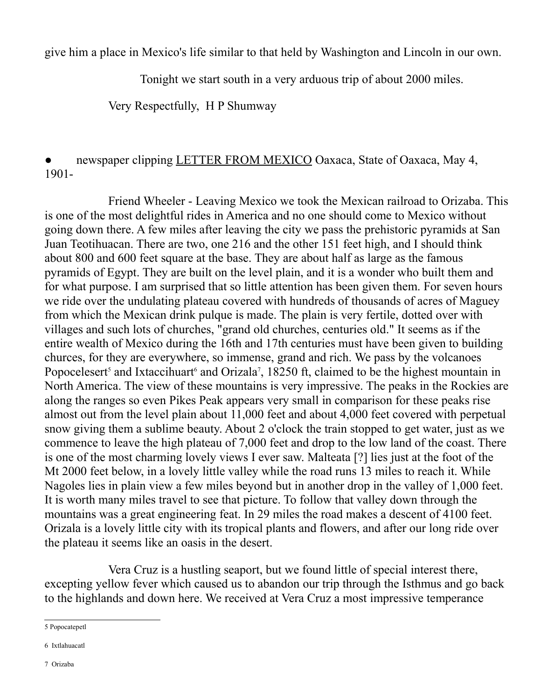give him a place in Mexico's life similar to that held by Washington and Lincoln in our own.

Tonight we start south in a very arduous trip of about 2000 miles.

Very Respectfully, H P Shumway

### newspaper clipping LETTER FROM MEXICO Oaxaca, State of Oaxaca, May 4, 1901-

Friend Wheeler - Leaving Mexico we took the Mexican railroad to Orizaba. This is one of the most delightful rides in America and no one should come to Mexico without going down there. A few miles after leaving the city we pass the prehistoric pyramids at San Juan Teotihuacan. There are two, one 216 and the other 151 feet high, and I should think about 800 and 600 feet square at the base. They are about half as large as the famous pyramids of Egypt. They are built on the level plain, and it is a wonder who built them and for what purpose. I am surprised that so little attention has been given them. For seven hours we ride over the undulating plateau covered with hundreds of thousands of acres of Maguey from which the Mexican drink pulque is made. The plain is very fertile, dotted over with villages and such lots of churches, "grand old churches, centuries old." It seems as if the entire wealth of Mexico during the 16th and 17th centuries must have been given to building churces, for they are everywhere, so immense, grand and rich. We pass by the volcanoes Popocelesert<sup>[5](#page-19-0)</sup> and Ixtaccihuart<sup>[6](#page-19-1)</sup> and Orizala<sup>[7](#page-19-2)</sup>, 18250 ft, claimed to be the highest mountain in North America. The view of these mountains is very impressive. The peaks in the Rockies are along the ranges so even Pikes Peak appears very small in comparison for these peaks rise almost out from the level plain about 11,000 feet and about 4,000 feet covered with perpetual snow giving them a sublime beauty. About 2 o'clock the train stopped to get water, just as we commence to leave the high plateau of 7,000 feet and drop to the low land of the coast. There is one of the most charming lovely views I ever saw. Malteata [?] lies just at the foot of the Mt 2000 feet below, in a lovely little valley while the road runs 13 miles to reach it. While Nagoles lies in plain view a few miles beyond but in another drop in the valley of 1,000 feet. It is worth many miles travel to see that picture. To follow that valley down through the mountains was a great engineering feat. In 29 miles the road makes a descent of 4100 feet. Orizala is a lovely little city with its tropical plants and flowers, and after our long ride over the plateau it seems like an oasis in the desert.

Vera Cruz is a hustling seaport, but we found little of special interest there, excepting yellow fever which caused us to abandon our trip through the Isthmus and go back to the highlands and down here. We received at Vera Cruz a most impressive temperance

<span id="page-19-0"></span><sup>5</sup> Popocatepetl

<span id="page-19-2"></span><span id="page-19-1"></span><sup>6</sup> Ixtlahuacatl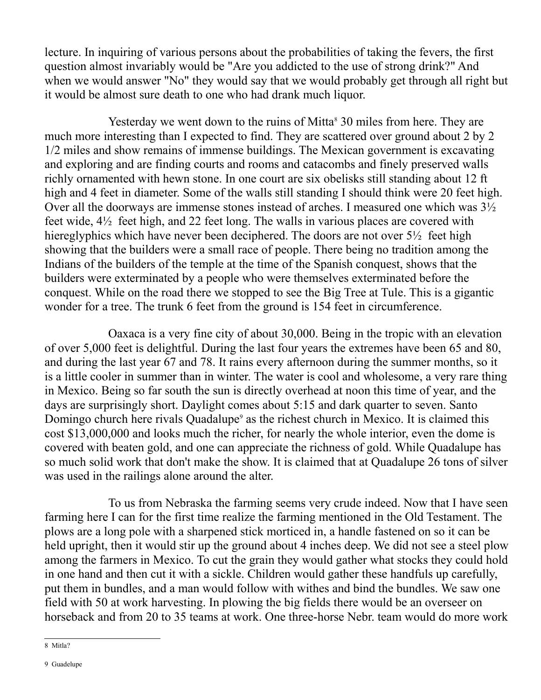lecture. In inquiring of various persons about the probabilities of taking the fevers, the first question almost invariably would be "Are you addicted to the use of strong drink?" And when we would answer "No" they would say that we would probably get through all right but it would be almost sure death to one who had drank much liquor.

Yesterday we went down to the ruins of Mitta<sup>[8](#page-20-0)</sup> 30 miles from here. They are much more interesting than I expected to find. They are scattered over ground about 2 by 2 1/2 miles and show remains of immense buildings. The Mexican government is excavating and exploring and are finding courts and rooms and catacombs and finely preserved walls richly ornamented with hewn stone. In one court are six obelisks still standing about 12 ft high and 4 feet in diameter. Some of the walls still standing I should think were 20 feet high. Over all the doorways are immense stones instead of arches. I measured one which was 3½ feet wide, 4½ feet high, and 22 feet long. The walls in various places are covered with hiereglyphics which have never been deciphered. The doors are not over  $5\frac{1}{2}$  feet high showing that the builders were a small race of people. There being no tradition among the Indians of the builders of the temple at the time of the Spanish conquest, shows that the builders were exterminated by a people who were themselves exterminated before the conquest. While on the road there we stopped to see the Big Tree at Tule. This is a gigantic wonder for a tree. The trunk 6 feet from the ground is 154 feet in circumference.

Oaxaca is a very fine city of about 30,000. Being in the tropic with an elevation of over 5,000 feet is delightful. During the last four years the extremes have been 65 and 80, and during the last year 67 and 78. It rains every afternoon during the summer months, so it is a little cooler in summer than in winter. The water is cool and wholesome, a very rare thing in Mexico. Being so far south the sun is directly overhead at noon this time of year, and the days are surprisingly short. Daylight comes about 5:15 and dark quarter to seven. Santo Domingo church here rivals Quadalupe<sup>[9](#page-20-1)</sup> as the richest church in Mexico. It is claimed this cost \$13,000,000 and looks much the richer, for nearly the whole interior, even the dome is covered with beaten gold, and one can appreciate the richness of gold. While Quadalupe has so much solid work that don't make the show. It is claimed that at Quadalupe 26 tons of silver was used in the railings alone around the alter.

To us from Nebraska the farming seems very crude indeed. Now that I have seen farming here I can for the first time realize the farming mentioned in the Old Testament. The plows are a long pole with a sharpened stick morticed in, a handle fastened on so it can be held upright, then it would stir up the ground about 4 inches deep. We did not see a steel plow among the farmers in Mexico. To cut the grain they would gather what stocks they could hold in one hand and then cut it with a sickle. Children would gather these handfuls up carefully, put them in bundles, and a man would follow with withes and bind the bundles. We saw one field with 50 at work harvesting. In plowing the big fields there would be an overseer on horseback and from 20 to 35 teams at work. One three-horse Nebr. team would do more work

<span id="page-20-1"></span><span id="page-20-0"></span><sup>8</sup> Mitla?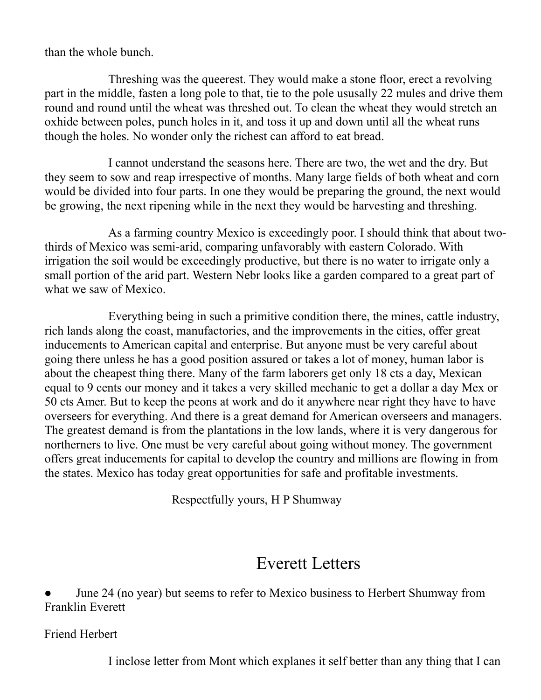than the whole bunch.

Threshing was the queerest. They would make a stone floor, erect a revolving part in the middle, fasten a long pole to that, tie to the pole ususally 22 mules and drive them round and round until the wheat was threshed out. To clean the wheat they would stretch an oxhide between poles, punch holes in it, and toss it up and down until all the wheat runs though the holes. No wonder only the richest can afford to eat bread.

I cannot understand the seasons here. There are two, the wet and the dry. But they seem to sow and reap irrespective of months. Many large fields of both wheat and corn would be divided into four parts. In one they would be preparing the ground, the next would be growing, the next ripening while in the next they would be harvesting and threshing.

As a farming country Mexico is exceedingly poor. I should think that about twothirds of Mexico was semi-arid, comparing unfavorably with eastern Colorado. With irrigation the soil would be exceedingly productive, but there is no water to irrigate only a small portion of the arid part. Western Nebr looks like a garden compared to a great part of what we saw of Mexico.

Everything being in such a primitive condition there, the mines, cattle industry, rich lands along the coast, manufactories, and the improvements in the cities, offer great inducements to American capital and enterprise. But anyone must be very careful about going there unless he has a good position assured or takes a lot of money, human labor is about the cheapest thing there. Many of the farm laborers get only 18 cts a day, Mexican equal to 9 cents our money and it takes a very skilled mechanic to get a dollar a day Mex or 50 cts Amer. But to keep the peons at work and do it anywhere near right they have to have overseers for everything. And there is a great demand for American overseers and managers. The greatest demand is from the plantations in the low lands, where it is very dangerous for northerners to live. One must be very careful about going without money. The government offers great inducements for capital to develop the country and millions are flowing in from the states. Mexico has today great opportunities for safe and profitable investments.

Respectfully yours, H P Shumway

# Everett Letters

June 24 (no year) but seems to refer to Mexico business to Herbert Shumway from Franklin Everett

Friend Herbert

I inclose letter from Mont which explanes it self better than any thing that I can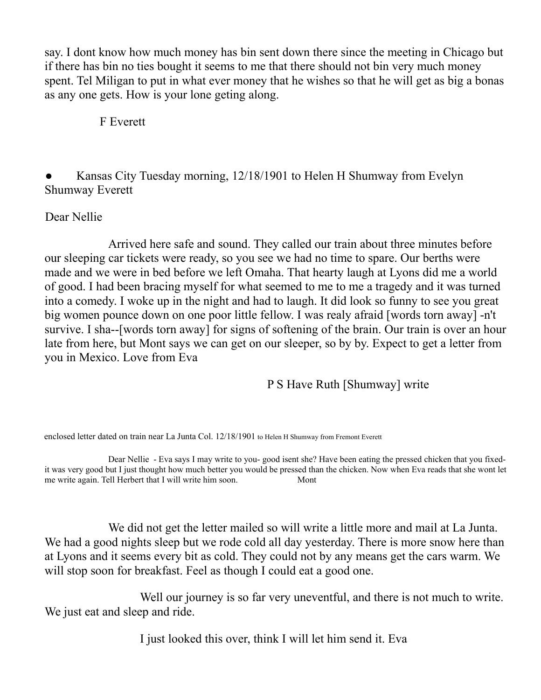say. I dont know how much money has bin sent down there since the meeting in Chicago but if there has bin no ties bought it seems to me that there should not bin very much money spent. Tel Miligan to put in what ever money that he wishes so that he will get as big a bonas as any one gets. How is your lone geting along.

F Everett

Kansas City Tuesday morning, 12/18/1901 to Helen H Shumway from Evelyn Shumway Everett

#### Dear Nellie

Arrived here safe and sound. They called our train about three minutes before our sleeping car tickets were ready, so you see we had no time to spare. Our berths were made and we were in bed before we left Omaha. That hearty laugh at Lyons did me a world of good. I had been bracing myself for what seemed to me to me a tragedy and it was turned into a comedy. I woke up in the night and had to laugh. It did look so funny to see you great big women pounce down on one poor little fellow. I was realy afraid [words torn away] -n't survive. I sha--[words torn away] for signs of softening of the brain. Our train is over an hour late from here, but Mont says we can get on our sleeper, so by by. Expect to get a letter from you in Mexico. Love from Eva

### P S Have Ruth [Shumway] write

enclosed letter dated on train near La Junta Col. 12/18/1901 to Helen H Shumway from Fremont Everett

Dear Nellie - Eva says I may write to you- good isent she? Have been eating the pressed chicken that you fixedit was very good but I just thought how much better you would be pressed than the chicken. Now when Eva reads that she wont let me write again. Tell Herbert that I will write him soon. Mont

We did not get the letter mailed so will write a little more and mail at La Junta. We had a good nights sleep but we rode cold all day yesterday. There is more snow here than at Lyons and it seems every bit as cold. They could not by any means get the cars warm. We will stop soon for breakfast. Feel as though I could eat a good one.

Well our journey is so far very uneventful, and there is not much to write. We just eat and sleep and ride.

I just looked this over, think I will let him send it. Eva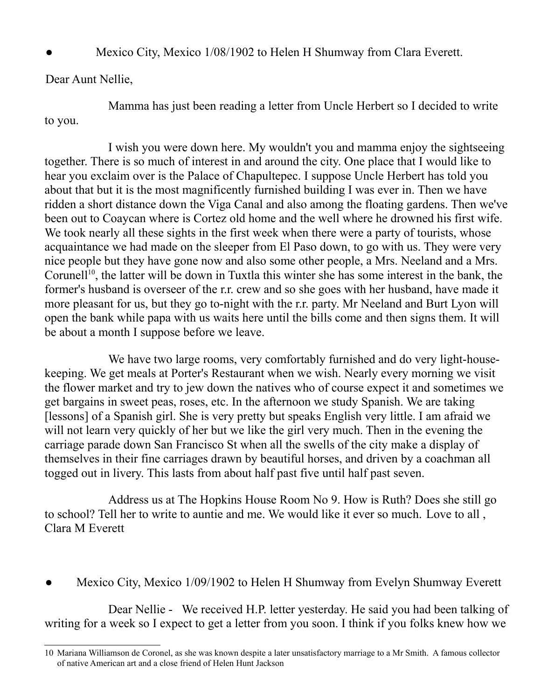Mexico City, Mexico 1/08/1902 to Helen H Shumway from Clara Everett.

Dear Aunt Nellie,

Mamma has just been reading a letter from Uncle Herbert so I decided to write to you.

I wish you were down here. My wouldn't you and mamma enjoy the sightseeing together. There is so much of interest in and around the city. One place that I would like to hear you exclaim over is the Palace of Chapultepec. I suppose Uncle Herbert has told you about that but it is the most magnificently furnished building I was ever in. Then we have ridden a short distance down the Viga Canal and also among the floating gardens. Then we've been out to Coaycan where is Cortez old home and the well where he drowned his first wife. We took nearly all these sights in the first week when there were a party of tourists, whose acquaintance we had made on the sleeper from El Paso down, to go with us. They were very nice people but they have gone now and also some other people, a Mrs. Neeland and a Mrs. Corunell<sup>[10](#page-23-0)</sup>, the latter will be down in Tuxtla this winter she has some interest in the bank, the former's husband is overseer of the r.r. crew and so she goes with her husband, have made it more pleasant for us, but they go to-night with the r.r. party. Mr Neeland and Burt Lyon will open the bank while papa with us waits here until the bills come and then signs them. It will be about a month I suppose before we leave.

We have two large rooms, very comfortably furnished and do very light-housekeeping. We get meals at Porter's Restaurant when we wish. Nearly every morning we visit the flower market and try to jew down the natives who of course expect it and sometimes we get bargains in sweet peas, roses, etc. In the afternoon we study Spanish. We are taking [lessons] of a Spanish girl. She is very pretty but speaks English very little. I am afraid we will not learn very quickly of her but we like the girl very much. Then in the evening the carriage parade down San Francisco St when all the swells of the city make a display of themselves in their fine carriages drawn by beautiful horses, and driven by a coachman all togged out in livery. This lasts from about half past five until half past seven.

Address us at The Hopkins House Room No 9. How is Ruth? Does she still go to school? Tell her to write to auntie and me. We would like it ever so much. Love to all , Clara M Everett

Mexico City, Mexico 1/09/1902 to Helen H Shumway from Evelyn Shumway Everett

Dear Nellie - We received H.P. letter yesterday. He said you had been talking of writing for a week so I expect to get a letter from you soon. I think if you folks knew how we

<span id="page-23-0"></span><sup>10</sup> Mariana Williamson de Coronel, as she was known despite a later unsatisfactory marriage to a Mr Smith. A famous collector of native American art and a close friend of Helen Hunt Jackson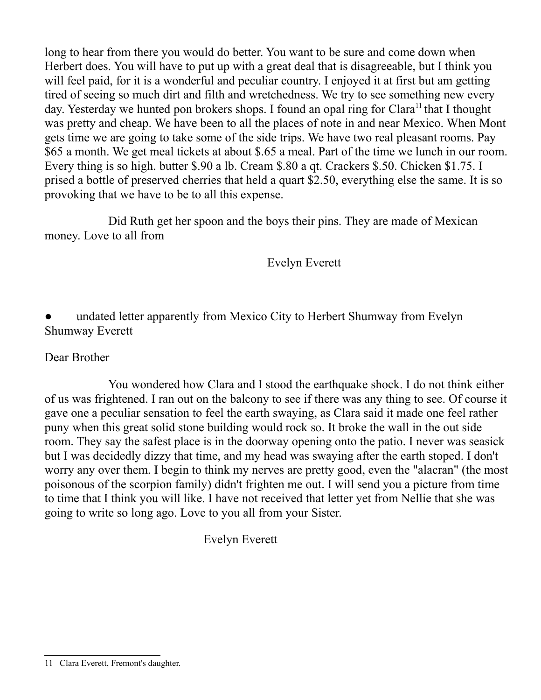long to hear from there you would do better. You want to be sure and come down when Herbert does. You will have to put up with a great deal that is disagreeable, but I think you will feel paid, for it is a wonderful and peculiar country. I enjoyed it at first but am getting tired of seeing so much dirt and filth and wretchedness. We try to see something new every day. Yesterday we hunted pon brokers shops. I found an opal ring for Clara<sup>11</sup> that I thought was pretty and cheap. We have been to all the places of note in and near Mexico. When Mont gets time we are going to take some of the side trips. We have two real pleasant rooms. Pay \$65 a month. We get meal tickets at about \$.65 a meal. Part of the time we lunch in our room. Every thing is so high. butter \$.90 a lb. Cream \$.80 a qt. Crackers \$.50. Chicken \$1.75. I prised a bottle of preserved cherries that held a quart \$2.50, everything else the same. It is so provoking that we have to be to all this expense.

Did Ruth get her spoon and the boys their pins. They are made of Mexican money. Love to all from

Evelyn Everett

undated letter apparently from Mexico City to Herbert Shumway from Evelyn Shumway Everett

#### Dear Brother

You wondered how Clara and I stood the earthquake shock. I do not think either of us was frightened. I ran out on the balcony to see if there was any thing to see. Of course it gave one a peculiar sensation to feel the earth swaying, as Clara said it made one feel rather puny when this great solid stone building would rock so. It broke the wall in the out side room. They say the safest place is in the doorway opening onto the patio. I never was seasick but I was decidedly dizzy that time, and my head was swaying after the earth stoped. I don't worry any over them. I begin to think my nerves are pretty good, even the "alacran" (the most poisonous of the scorpion family) didn't frighten me out. I will send you a picture from time to time that I think you will like. I have not received that letter yet from Nellie that she was going to write so long ago. Love to you all from your Sister.

Evelyn Everett

<span id="page-24-0"></span><sup>11</sup> Clara Everett, Fremont's daughter.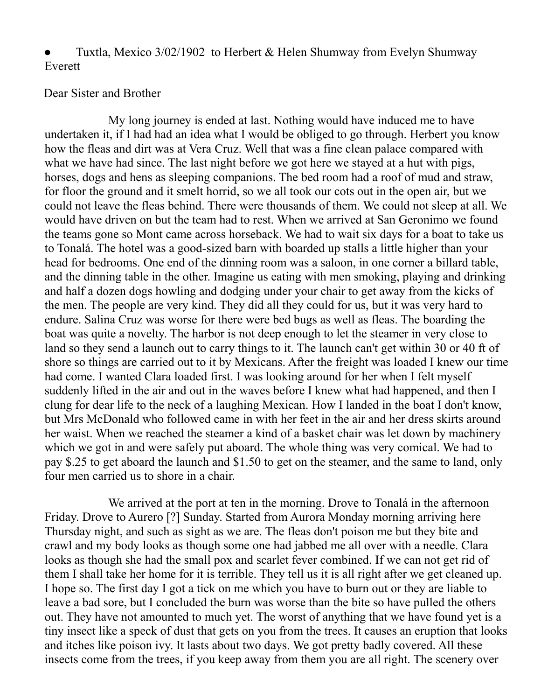Tuxtla, Mexico 3/02/1902 to Herbert & Helen Shumway from Evelyn Shumway Everett

#### Dear Sister and Brother

My long journey is ended at last. Nothing would have induced me to have undertaken it, if I had had an idea what I would be obliged to go through. Herbert you know how the fleas and dirt was at Vera Cruz. Well that was a fine clean palace compared with what we have had since. The last night before we got here we stayed at a hut with pigs, horses, dogs and hens as sleeping companions. The bed room had a roof of mud and straw, for floor the ground and it smelt horrid, so we all took our cots out in the open air, but we could not leave the fleas behind. There were thousands of them. We could not sleep at all. We would have driven on but the team had to rest. When we arrived at San Geronimo we found the teams gone so Mont came across horseback. We had to wait six days for a boat to take us to Tonalá. The hotel was a good-sized barn with boarded up stalls a little higher than your head for bedrooms. One end of the dinning room was a saloon, in one corner a billard table, and the dinning table in the other. Imagine us eating with men smoking, playing and drinking and half a dozen dogs howling and dodging under your chair to get away from the kicks of the men. The people are very kind. They did all they could for us, but it was very hard to endure. Salina Cruz was worse for there were bed bugs as well as fleas. The boarding the boat was quite a novelty. The harbor is not deep enough to let the steamer in very close to land so they send a launch out to carry things to it. The launch can't get within 30 or 40 ft of shore so things are carried out to it by Mexicans. After the freight was loaded I knew our time had come. I wanted Clara loaded first. I was looking around for her when I felt myself suddenly lifted in the air and out in the waves before I knew what had happened, and then I clung for dear life to the neck of a laughing Mexican. How I landed in the boat I don't know, but Mrs McDonald who followed came in with her feet in the air and her dress skirts around her waist. When we reached the steamer a kind of a basket chair was let down by machinery which we got in and were safely put aboard. The whole thing was very comical. We had to pay \$.25 to get aboard the launch and \$1.50 to get on the steamer, and the same to land, only four men carried us to shore in a chair.

We arrived at the port at ten in the morning. Drove to Tonalá in the afternoon Friday. Drove to Aurero [?] Sunday. Started from Aurora Monday morning arriving here Thursday night, and such as sight as we are. The fleas don't poison me but they bite and crawl and my body looks as though some one had jabbed me all over with a needle. Clara looks as though she had the small pox and scarlet fever combined. If we can not get rid of them I shall take her home for it is terrible. They tell us it is all right after we get cleaned up. I hope so. The first day I got a tick on me which you have to burn out or they are liable to leave a bad sore, but I concluded the burn was worse than the bite so have pulled the others out. They have not amounted to much yet. The worst of anything that we have found yet is a tiny insect like a speck of dust that gets on you from the trees. It causes an eruption that looks and itches like poison ivy. It lasts about two days. We got pretty badly covered. All these insects come from the trees, if you keep away from them you are all right. The scenery over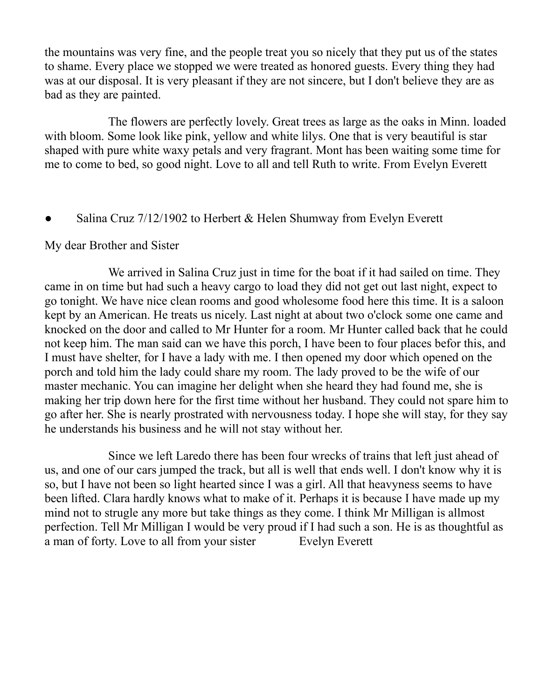the mountains was very fine, and the people treat you so nicely that they put us of the states to shame. Every place we stopped we were treated as honored guests. Every thing they had was at our disposal. It is very pleasant if they are not sincere, but I don't believe they are as bad as they are painted.

The flowers are perfectly lovely. Great trees as large as the oaks in Minn. loaded with bloom. Some look like pink, yellow and white lilys. One that is very beautiful is star shaped with pure white waxy petals and very fragrant. Mont has been waiting some time for me to come to bed, so good night. Love to all and tell Ruth to write. From Evelyn Everett

Salina Cruz  $7/12/1902$  to Herbert & Helen Shumway from Evelyn Everett

#### My dear Brother and Sister

We arrived in Salina Cruz just in time for the boat if it had sailed on time. They came in on time but had such a heavy cargo to load they did not get out last night, expect to go tonight. We have nice clean rooms and good wholesome food here this time. It is a saloon kept by an American. He treats us nicely. Last night at about two o'clock some one came and knocked on the door and called to Mr Hunter for a room. Mr Hunter called back that he could not keep him. The man said can we have this porch, I have been to four places befor this, and I must have shelter, for I have a lady with me. I then opened my door which opened on the porch and told him the lady could share my room. The lady proved to be the wife of our master mechanic. You can imagine her delight when she heard they had found me, she is making her trip down here for the first time without her husband. They could not spare him to go after her. She is nearly prostrated with nervousness today. I hope she will stay, for they say he understands his business and he will not stay without her.

Since we left Laredo there has been four wrecks of trains that left just ahead of us, and one of our cars jumped the track, but all is well that ends well. I don't know why it is so, but I have not been so light hearted since I was a girl. All that heavyness seems to have been lifted. Clara hardly knows what to make of it. Perhaps it is because I have made up my mind not to strugle any more but take things as they come. I think Mr Milligan is allmost perfection. Tell Mr Milligan I would be very proud if I had such a son. He is as thoughtful as a man of forty. Love to all from your sister Evelyn Everett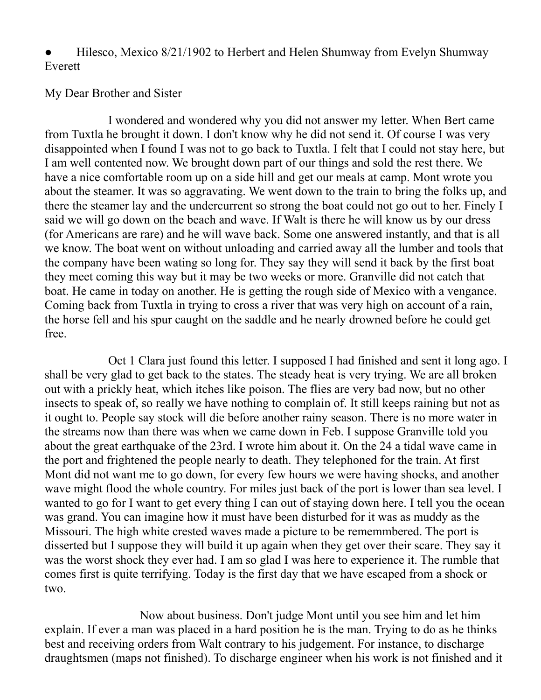Hilesco, Mexico 8/21/1902 to Herbert and Helen Shumway from Evelyn Shumway Everett

#### My Dear Brother and Sister

I wondered and wondered why you did not answer my letter. When Bert came from Tuxtla he brought it down. I don't know why he did not send it. Of course I was very disappointed when I found I was not to go back to Tuxtla. I felt that I could not stay here, but I am well contented now. We brought down part of our things and sold the rest there. We have a nice comfortable room up on a side hill and get our meals at camp. Mont wrote you about the steamer. It was so aggravating. We went down to the train to bring the folks up, and there the steamer lay and the undercurrent so strong the boat could not go out to her. Finely I said we will go down on the beach and wave. If Walt is there he will know us by our dress (for Americans are rare) and he will wave back. Some one answered instantly, and that is all we know. The boat went on without unloading and carried away all the lumber and tools that the company have been wating so long for. They say they will send it back by the first boat they meet coming this way but it may be two weeks or more. Granville did not catch that boat. He came in today on another. He is getting the rough side of Mexico with a vengance. Coming back from Tuxtla in trying to cross a river that was very high on account of a rain, the horse fell and his spur caught on the saddle and he nearly drowned before he could get free.

Oct 1 Clara just found this letter. I supposed I had finished and sent it long ago. I shall be very glad to get back to the states. The steady heat is very trying. We are all broken out with a prickly heat, which itches like poison. The flies are very bad now, but no other insects to speak of, so really we have nothing to complain of. It still keeps raining but not as it ought to. People say stock will die before another rainy season. There is no more water in the streams now than there was when we came down in Feb. I suppose Granville told you about the great earthquake of the 23rd. I wrote him about it. On the 24 a tidal wave came in the port and frightened the people nearly to death. They telephoned for the train. At first Mont did not want me to go down, for every few hours we were having shocks, and another wave might flood the whole country. For miles just back of the port is lower than sea level. I wanted to go for I want to get every thing I can out of staying down here. I tell you the ocean was grand. You can imagine how it must have been disturbed for it was as muddy as the Missouri. The high white crested waves made a picture to be rememmbered. The port is disserted but I suppose they will build it up again when they get over their scare. They say it was the worst shock they ever had. I am so glad I was here to experience it. The rumble that comes first is quite terrifying. Today is the first day that we have escaped from a shock or two.

Now about business. Don't judge Mont until you see him and let him explain. If ever a man was placed in a hard position he is the man. Trying to do as he thinks best and receiving orders from Walt contrary to his judgement. For instance, to discharge draughtsmen (maps not finished). To discharge engineer when his work is not finished and it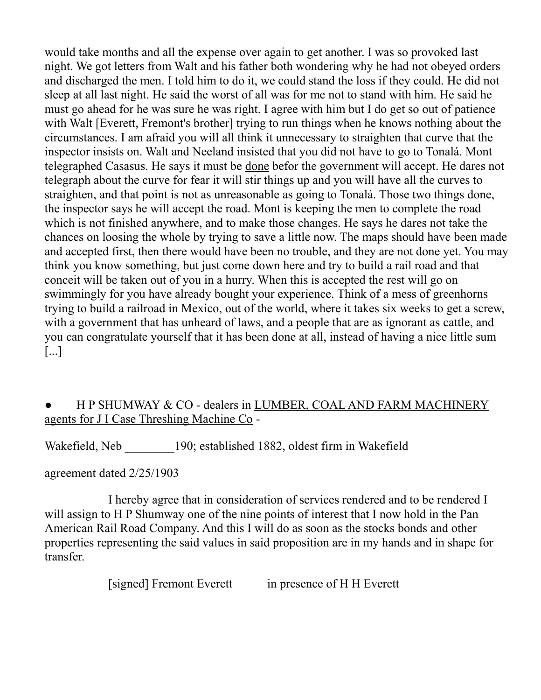would take months and all the expense over again to get another. I was so provoked last night. We got letters from Walt and his father both wondering why he had not obeyed orders and discharged the men. I told him to do it, we could stand the loss if they could. He did not sleep at all last night. He said the worst of all was for me not to stand with him. He said he must go ahead for he was sure he was right. I agree with him but I do get so out of patience with Walt [Everett, Fremont's brother] trying to run things when he knows nothing about the circumstances. I am afraid you will all think it unnecessary to straighten that curve that the inspector insists on. Walt and Neeland insisted that you did not have to go to Tonalá. Mont telegraphed Casasus. He says it must be done befor the government will accept. He dares not telegraph about the curve for fear it will stir things up and you will have all the curves to straighten, and that point is not as unreasonable as going to Tonalá. Those two things done, the inspector says he will accept the road. Mont is keeping the men to complete the road which is not finished anywhere, and to make those changes. He says he dares not take the chances on loosing the whole by trying to save a little now. The maps should have been made and accepted first, then there would have been no trouble, and they are not done yet. You may think you know something, but just come down here and try to build a rail road and that conceit will be taken out of you in a hurry. When this is accepted the rest will go on swimmingly for you have already bought your experience. Think of a mess of greenhorns trying to build a railroad in Mexico, out of the world, where it takes six weeks to get a screw, with a government that has unheard of laws, and a people that are as ignorant as cattle, and you can congratulate yourself that it has been done at all, instead of having a nice little sum [...]

#### H P SHUMWAY & CO - dealers in LUMBER, COAL AND FARM MACHINERY agents for J I Case Threshing Machine Co -

Wakefield, Neb 190; established 1882, oldest firm in Wakefield

agreement dated 2/25/1903

I hereby agree that in consideration of services rendered and to be rendered I will assign to H P Shumway one of the nine points of interest that I now hold in the Pan American Rail Road Company. And this I will do as soon as the stocks bonds and other properties representing the said values in said proposition are in my hands and in shape for transfer.

[signed] Fremont Everett in presence of H H Everett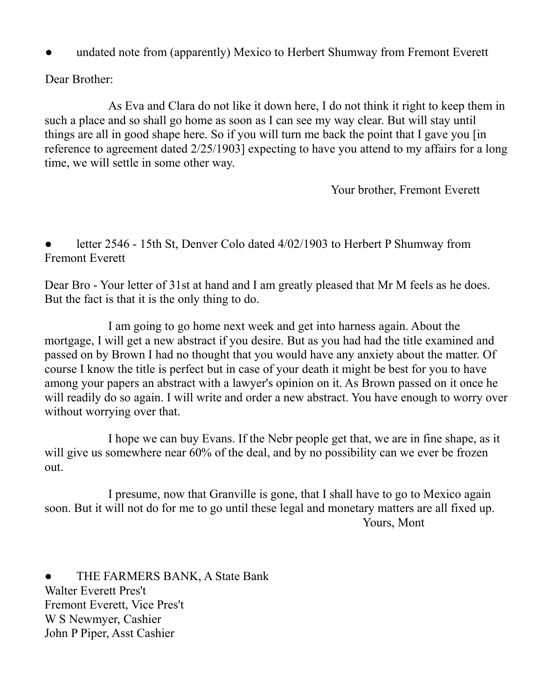undated note from (apparently) Mexico to Herbert Shumway from Fremont Everett

Dear Brother:

As Eva and Clara do not like it down here, I do not think it right to keep them in such a place and so shall go home as soon as I can see my way clear. But will stay until things are all in good shape here. So if you will turn me back the point that I gave you [in reference to agreement dated 2/25/1903] expecting to have you attend to my affairs for a long time, we will settle in some other way.

Your brother, Fremont Everett

letter 2546 - 15th St, Denver Colo dated 4/02/1903 to Herbert P Shumway from Fremont Everett

Dear Bro - Your letter of 31st at hand and I am greatly pleased that Mr M feels as he does. But the fact is that it is the only thing to do.

I am going to go home next week and get into harness again. About the mortgage, I will get a new abstract if you desire. But as you had had the title examined and passed on by Brown I had no thought that you would have any anxiety about the matter. Of course I know the title is perfect but in case of your death it might be best for you to have among your papers an abstract with a lawyer's opinion on it. As Brown passed on it once he will readily do so again. I will write and order a new abstract. You have enough to worry over without worrying over that.

I hope we can buy Evans. If the Nebr people get that, we are in fine shape, as it will give us somewhere near 60% of the deal, and by no possibility can we ever be frozen out.

I presume, now that Granville is gone, that I shall have to go to Mexico again soon. But it will not do for me to go until these legal and monetary matters are all fixed up. Yours, Mont

THE FARMERS BANK, A State Bank Walter Everett Pres't Fremont Everett, Vice Pres't W S Newmyer, Cashier John P Piper, Asst Cashier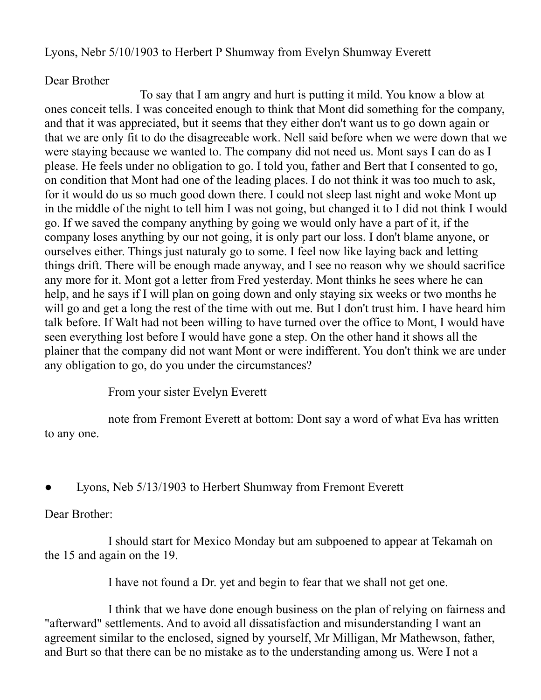Lyons, Nebr 5/10/1903 to Herbert P Shumway from Evelyn Shumway Everett

#### Dear Brother

To say that I am angry and hurt is putting it mild. You know a blow at ones conceit tells. I was conceited enough to think that Mont did something for the company, and that it was appreciated, but it seems that they either don't want us to go down again or that we are only fit to do the disagreeable work. Nell said before when we were down that we were staying because we wanted to. The company did not need us. Mont says I can do as I please. He feels under no obligation to go. I told you, father and Bert that I consented to go, on condition that Mont had one of the leading places. I do not think it was too much to ask, for it would do us so much good down there. I could not sleep last night and woke Mont up in the middle of the night to tell him I was not going, but changed it to I did not think I would go. If we saved the company anything by going we would only have a part of it, if the company loses anything by our not going, it is only part our loss. I don't blame anyone, or ourselves either. Things just naturaly go to some. I feel now like laying back and letting things drift. There will be enough made anyway, and I see no reason why we should sacrifice any more for it. Mont got a letter from Fred yesterday. Mont thinks he sees where he can help, and he says if I will plan on going down and only staying six weeks or two months he will go and get a long the rest of the time with out me. But I don't trust him. I have heard him talk before. If Walt had not been willing to have turned over the office to Mont, I would have seen everything lost before I would have gone a step. On the other hand it shows all the plainer that the company did not want Mont or were indifferent. You don't think we are under any obligation to go, do you under the circumstances?

From your sister Evelyn Everett

note from Fremont Everett at bottom: Dont say a word of what Eva has written to any one.

Lyons, Neb 5/13/1903 to Herbert Shumway from Fremont Everett

Dear Brother:

I should start for Mexico Monday but am subpoened to appear at Tekamah on the 15 and again on the 19.

I have not found a Dr. yet and begin to fear that we shall not get one.

I think that we have done enough business on the plan of relying on fairness and "afterward" settlements. And to avoid all dissatisfaction and misunderstanding I want an agreement similar to the enclosed, signed by yourself, Mr Milligan, Mr Mathewson, father, and Burt so that there can be no mistake as to the understanding among us. Were I not a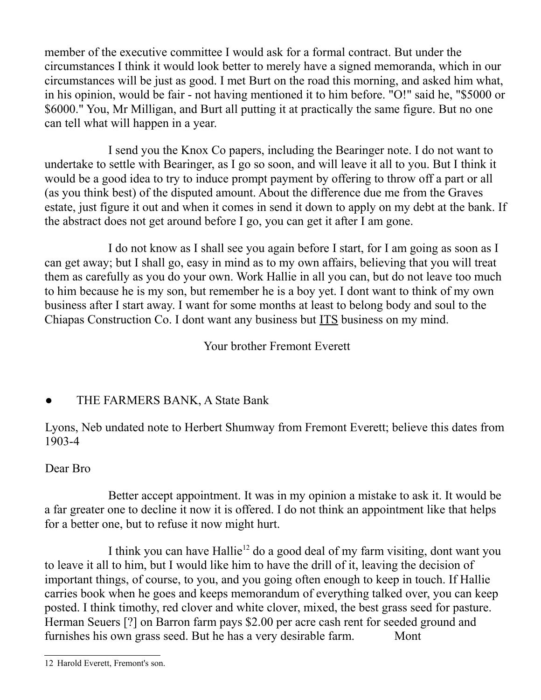member of the executive committee I would ask for a formal contract. But under the circumstances I think it would look better to merely have a signed memoranda, which in our circumstances will be just as good. I met Burt on the road this morning, and asked him what, in his opinion, would be fair - not having mentioned it to him before. "O!" said he, "\$5000 or \$6000." You, Mr Milligan, and Burt all putting it at practically the same figure. But no one can tell what will happen in a year.

I send you the Knox Co papers, including the Bearinger note. I do not want to undertake to settle with Bearinger, as I go so soon, and will leave it all to you. But I think it would be a good idea to try to induce prompt payment by offering to throw off a part or all (as you think best) of the disputed amount. About the difference due me from the Graves estate, just figure it out and when it comes in send it down to apply on my debt at the bank. If the abstract does not get around before I go, you can get it after I am gone.

I do not know as I shall see you again before I start, for I am going as soon as I can get away; but I shall go, easy in mind as to my own affairs, believing that you will treat them as carefully as you do your own. Work Hallie in all you can, but do not leave too much to him because he is my son, but remember he is a boy yet. I dont want to think of my own business after I start away. I want for some months at least to belong body and soul to the Chiapas Construction Co. I dont want any business but ITS business on my mind.

Your brother Fremont Everett

## THE FARMERS BANK, A State Bank

Lyons, Neb undated note to Herbert Shumway from Fremont Everett; believe this dates from 1903-4

### Dear Bro

Better accept appointment. It was in my opinion a mistake to ask it. It would be a far greater one to decline it now it is offered. I do not think an appointment like that helps for a better one, but to refuse it now might hurt.

I think you can have Hallie<sup>[12](#page-31-0)</sup> do a good deal of my farm visiting, dont want you to leave it all to him, but I would like him to have the drill of it, leaving the decision of important things, of course, to you, and you going often enough to keep in touch. If Hallie carries book when he goes and keeps memorandum of everything talked over, you can keep posted. I think timothy, red clover and white clover, mixed, the best grass seed for pasture. Herman Seuers [?] on Barron farm pays \$2.00 per acre cash rent for seeded ground and furnishes his own grass seed. But he has a very desirable farm. Mont

<span id="page-31-0"></span><sup>12</sup> Harold Everett, Fremont's son.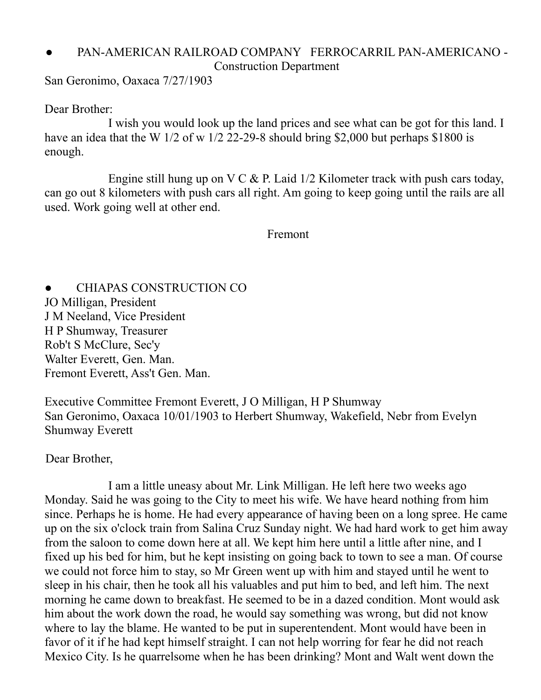#### PAN-AMERICAN RAILROAD COMPANY FERROCARRIL PAN-AMERICANO -Construction Department

San Geronimo, Oaxaca 7/27/1903

Dear Brother:

I wish you would look up the land prices and see what can be got for this land. I have an idea that the W 1/2 of w 1/2 22-29-8 should bring \$2,000 but perhaps \$1800 is enough.

Engine still hung up on V C  $\&$  P. Laid 1/2 Kilometer track with push cars today, can go out 8 kilometers with push cars all right. Am going to keep going until the rails are all used. Work going well at other end.

#### Fremont

CHIAPAS CONSTRUCTION CO JO Milligan, President J M Neeland, Vice President H P Shumway, Treasurer Rob't S McClure, Sec'y Walter Everett, Gen. Man. Fremont Everett, Ass't Gen. Man.

Executive Committee Fremont Everett, J O Milligan, H P Shumway San Geronimo, Oaxaca 10/01/1903 to Herbert Shumway, Wakefield, Nebr from Evelyn Shumway Everett

#### Dear Brother,

I am a little uneasy about Mr. Link Milligan. He left here two weeks ago Monday. Said he was going to the City to meet his wife. We have heard nothing from him since. Perhaps he is home. He had every appearance of having been on a long spree. He came up on the six o'clock train from Salina Cruz Sunday night. We had hard work to get him away from the saloon to come down here at all. We kept him here until a little after nine, and I fixed up his bed for him, but he kept insisting on going back to town to see a man. Of course we could not force him to stay, so Mr Green went up with him and stayed until he went to sleep in his chair, then he took all his valuables and put him to bed, and left him. The next morning he came down to breakfast. He seemed to be in a dazed condition. Mont would ask him about the work down the road, he would say something was wrong, but did not know where to lay the blame. He wanted to be put in superentendent. Mont would have been in favor of it if he had kept himself straight. I can not help worring for fear he did not reach Mexico City. Is he quarrelsome when he has been drinking? Mont and Walt went down the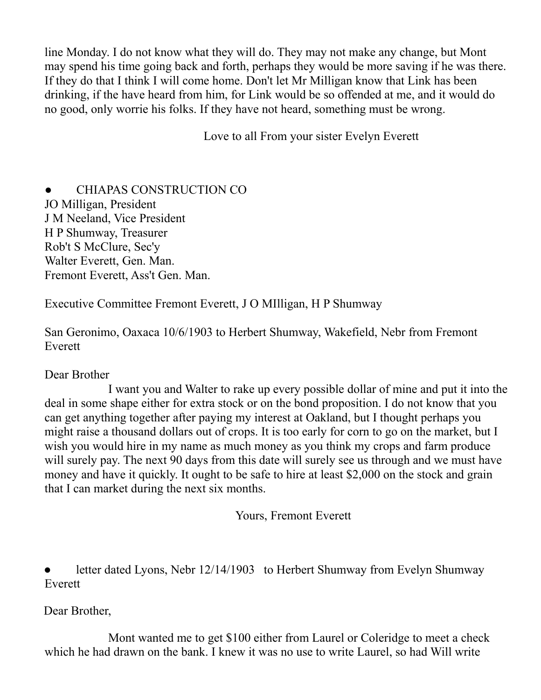line Monday. I do not know what they will do. They may not make any change, but Mont may spend his time going back and forth, perhaps they would be more saving if he was there. If they do that I think I will come home. Don't let Mr Milligan know that Link has been drinking, if the have heard from him, for Link would be so offended at me, and it would do no good, only worrie his folks. If they have not heard, something must be wrong.

Love to all From your sister Evelyn Everett

● CHIAPAS CONSTRUCTION CO JO Milligan, President J M Neeland, Vice President H P Shumway, Treasurer Rob't S McClure, Sec'y Walter Everett, Gen. Man. Fremont Everett, Ass't Gen. Man.

Executive Committee Fremont Everett, J O MIlligan, H P Shumway

San Geronimo, Oaxaca 10/6/1903 to Herbert Shumway, Wakefield, Nebr from Fremont Everett

#### Dear Brother

I want you and Walter to rake up every possible dollar of mine and put it into the deal in some shape either for extra stock or on the bond proposition. I do not know that you can get anything together after paying my interest at Oakland, but I thought perhaps you might raise a thousand dollars out of crops. It is too early for corn to go on the market, but I wish you would hire in my name as much money as you think my crops and farm produce will surely pay. The next 90 days from this date will surely see us through and we must have money and have it quickly. It ought to be safe to hire at least \$2,000 on the stock and grain that I can market during the next six months.

Yours, Fremont Everett

letter dated Lyons, Nebr 12/14/1903 to Herbert Shumway from Evelyn Shumway Everett

Dear Brother,

Mont wanted me to get \$100 either from Laurel or Coleridge to meet a check which he had drawn on the bank. I knew it was no use to write Laurel, so had Will write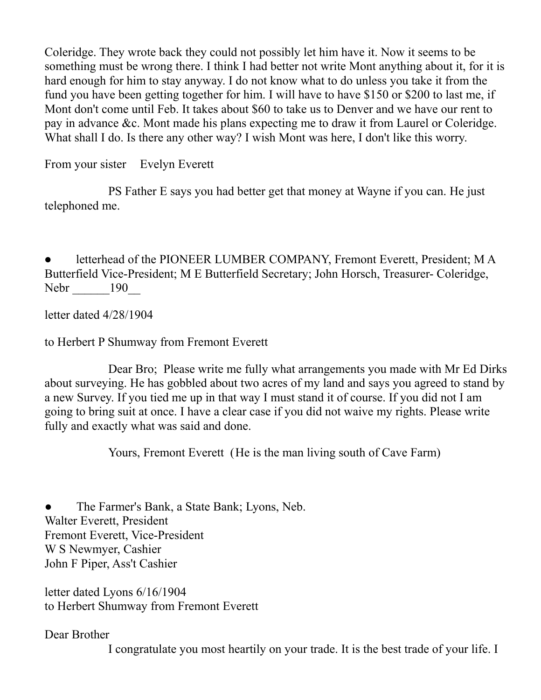Coleridge. They wrote back they could not possibly let him have it. Now it seems to be something must be wrong there. I think I had better not write Mont anything about it, for it is hard enough for him to stay anyway. I do not know what to do unless you take it from the fund you have been getting together for him. I will have to have \$150 or \$200 to last me, if Mont don't come until Feb. It takes about \$60 to take us to Denver and we have our rent to pay in advance &c. Mont made his plans expecting me to draw it from Laurel or Coleridge. What shall I do. Is there any other way? I wish Mont was here, I don't like this worry.

From your sister Evelyn Everett

PS Father E says you had better get that money at Wayne if you can. He just telephoned me.

letterhead of the PIONEER LUMBER COMPANY, Fremont Everett, President; MA Butterfield Vice-President; M E Butterfield Secretary; John Horsch, Treasurer- Coleridge, Nebr 190\_

letter dated 4/28/1904

to Herbert P Shumway from Fremont Everett

Dear Bro; Please write me fully what arrangements you made with Mr Ed Dirks about surveying. He has gobbled about two acres of my land and says you agreed to stand by a new Survey. If you tied me up in that way I must stand it of course. If you did not I am going to bring suit at once. I have a clear case if you did not waive my rights. Please write fully and exactly what was said and done.

Yours, Fremont Everett (He is the man living south of Cave Farm)

The Farmer's Bank, a State Bank; Lyons, Neb. Walter Everett, President Fremont Everett, Vice-President W S Newmyer, Cashier John F Piper, Ass't Cashier

letter dated Lyons 6/16/1904 to Herbert Shumway from Fremont Everett

Dear Brother

I congratulate you most heartily on your trade. It is the best trade of your life. I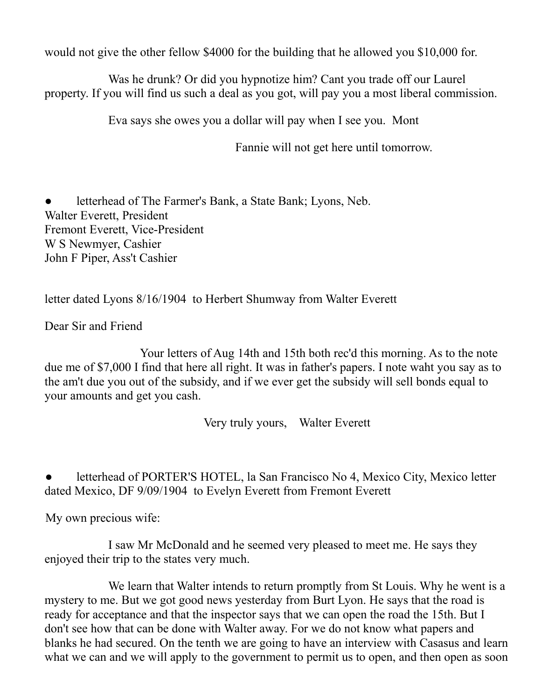would not give the other fellow \$4000 for the building that he allowed you \$10,000 for.

Was he drunk? Or did you hypnotize him? Cant you trade off our Laurel property. If you will find us such a deal as you got, will pay you a most liberal commission.

Eva says she owes you a dollar will pay when I see you. Mont

Fannie will not get here until tomorrow.

● letterhead of The Farmer's Bank, a State Bank; Lyons, Neb. Walter Everett, President Fremont Everett, Vice-President W S Newmyer, Cashier John F Piper, Ass't Cashier

letter dated Lyons 8/16/1904 to Herbert Shumway from Walter Everett

Dear Sir and Friend

Your letters of Aug 14th and 15th both rec'd this morning. As to the note due me of \$7,000 I find that here all right. It was in father's papers. I note waht you say as to the am't due you out of the subsidy, and if we ever get the subsidy will sell bonds equal to your amounts and get you cash.

Very truly yours, Walter Everett

letterhead of PORTER'S HOTEL, la San Francisco No 4, Mexico City, Mexico letter dated Mexico, DF 9/09/1904 to Evelyn Everett from Fremont Everett

My own precious wife:

I saw Mr McDonald and he seemed very pleased to meet me. He says they enjoyed their trip to the states very much.

We learn that Walter intends to return promptly from St Louis. Why he went is a mystery to me. But we got good news yesterday from Burt Lyon. He says that the road is ready for acceptance and that the inspector says that we can open the road the 15th. But I don't see how that can be done with Walter away. For we do not know what papers and blanks he had secured. On the tenth we are going to have an interview with Casasus and learn what we can and we will apply to the government to permit us to open, and then open as soon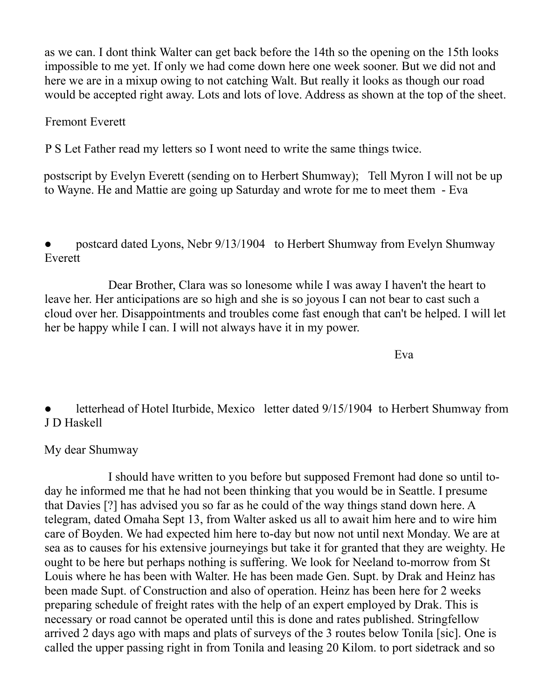as we can. I dont think Walter can get back before the 14th so the opening on the 15th looks impossible to me yet. If only we had come down here one week sooner. But we did not and here we are in a mixup owing to not catching Walt. But really it looks as though our road would be accepted right away. Lots and lots of love. Address as shown at the top of the sheet.

#### Fremont Everett

P S Let Father read my letters so I wont need to write the same things twice.

postscript by Evelyn Everett (sending on to Herbert Shumway); Tell Myron I will not be up to Wayne. He and Mattie are going up Saturday and wrote for me to meet them - Eva

postcard dated Lyons, Nebr 9/13/1904 to Herbert Shumway from Evelyn Shumway Everett

Dear Brother, Clara was so lonesome while I was away I haven't the heart to leave her. Her anticipations are so high and she is so joyous I can not bear to cast such a cloud over her. Disappointments and troubles come fast enough that can't be helped. I will let her be happy while I can. I will not always have it in my power.

Eva

letterhead of Hotel Iturbide, Mexico letter dated 9/15/1904 to Herbert Shumway from J D Haskell

#### My dear Shumway

I should have written to you before but supposed Fremont had done so until today he informed me that he had not been thinking that you would be in Seattle. I presume that Davies [?] has advised you so far as he could of the way things stand down here. A telegram, dated Omaha Sept 13, from Walter asked us all to await him here and to wire him care of Boyden. We had expected him here to-day but now not until next Monday. We are at sea as to causes for his extensive journeyings but take it for granted that they are weighty. He ought to be here but perhaps nothing is suffering. We look for Neeland to-morrow from St Louis where he has been with Walter. He has been made Gen. Supt. by Drak and Heinz has been made Supt. of Construction and also of operation. Heinz has been here for 2 weeks preparing schedule of freight rates with the help of an expert employed by Drak. This is necessary or road cannot be operated until this is done and rates published. Stringfellow arrived 2 days ago with maps and plats of surveys of the 3 routes below Tonila [sic]. One is called the upper passing right in from Tonila and leasing 20 Kilom. to port sidetrack and so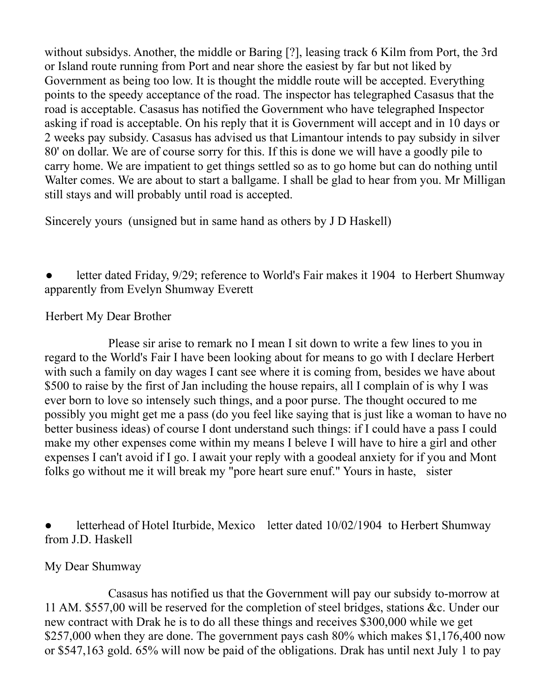without subsidys. Another, the middle or Baring [?], leasing track 6 Kilm from Port, the 3rd or Island route running from Port and near shore the easiest by far but not liked by Government as being too low. It is thought the middle route will be accepted. Everything points to the speedy acceptance of the road. The inspector has telegraphed Casasus that the road is acceptable. Casasus has notified the Government who have telegraphed Inspector asking if road is acceptable. On his reply that it is Government will accept and in 10 days or 2 weeks pay subsidy. Casasus has advised us that Limantour intends to pay subsidy in silver 80' on dollar. We are of course sorry for this. If this is done we will have a goodly pile to carry home. We are impatient to get things settled so as to go home but can do nothing until Walter comes. We are about to start a ballgame. I shall be glad to hear from you. Mr Milligan still stays and will probably until road is accepted.

Sincerely yours (unsigned but in same hand as others by J D Haskell)

letter dated Friday, 9/29; reference to World's Fair makes it 1904 to Herbert Shumway apparently from Evelyn Shumway Everett

Herbert My Dear Brother

Please sir arise to remark no I mean I sit down to write a few lines to you in regard to the World's Fair I have been looking about for means to go with I declare Herbert with such a family on day wages I cant see where it is coming from, besides we have about \$500 to raise by the first of Jan including the house repairs, all I complain of is why I was ever born to love so intensely such things, and a poor purse. The thought occured to me possibly you might get me a pass (do you feel like saying that is just like a woman to have no better business ideas) of course I dont understand such things: if I could have a pass I could make my other expenses come within my means I beleve I will have to hire a girl and other expenses I can't avoid if I go. I await your reply with a goodeal anxiety for if you and Mont folks go without me it will break my "pore heart sure enuf." Yours in haste, sister

letterhead of Hotel Iturbide, Mexico letter dated 10/02/1904 to Herbert Shumway from J.D. Haskell

#### My Dear Shumway

Casasus has notified us that the Government will pay our subsidy to-morrow at 11 AM. \$557,00 will be reserved for the completion of steel bridges, stations &c. Under our new contract with Drak he is to do all these things and receives \$300,000 while we get \$257,000 when they are done. The government pays cash 80% which makes \$1,176,400 now or \$547,163 gold. 65% will now be paid of the obligations. Drak has until next July 1 to pay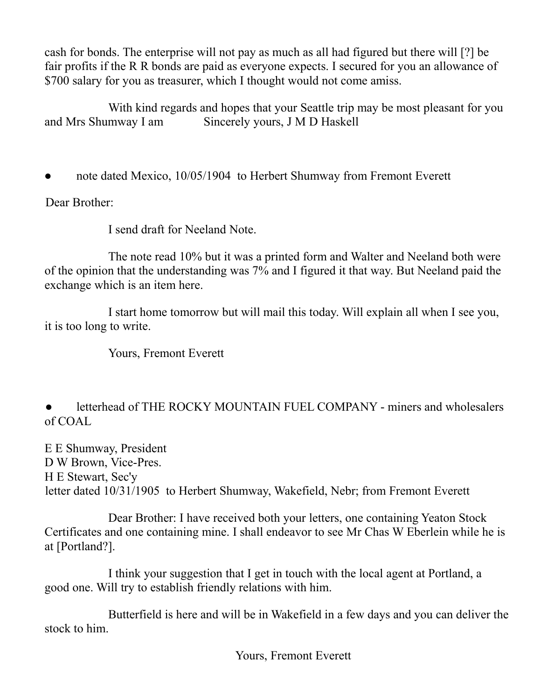cash for bonds. The enterprise will not pay as much as all had figured but there will [?] be fair profits if the R R bonds are paid as everyone expects. I secured for you an allowance of \$700 salary for you as treasurer, which I thought would not come amiss.

With kind regards and hopes that your Seattle trip may be most pleasant for you and Mrs Shumway I am Sincerely yours, J M D Haskell

note dated Mexico, 10/05/1904 to Herbert Shumway from Fremont Everett

Dear Brother:

I send draft for Neeland Note.

The note read 10% but it was a printed form and Walter and Neeland both were of the opinion that the understanding was 7% and I figured it that way. But Neeland paid the exchange which is an item here.

I start home tomorrow but will mail this today. Will explain all when I see you, it is too long to write.

Yours, Fremont Everett

letterhead of THE ROCKY MOUNTAIN FUEL COMPANY - miners and wholesalers of COAL

E E Shumway, President D W Brown, Vice-Pres. H E Stewart, Sec'y letter dated 10/31/1905 to Herbert Shumway, Wakefield, Nebr; from Fremont Everett

Dear Brother: I have received both your letters, one containing Yeaton Stock Certificates and one containing mine. I shall endeavor to see Mr Chas W Eberlein while he is at [Portland?].

I think your suggestion that I get in touch with the local agent at Portland, a good one. Will try to establish friendly relations with him.

Butterfield is here and will be in Wakefield in a few days and you can deliver the stock to him.

Yours, Fremont Everett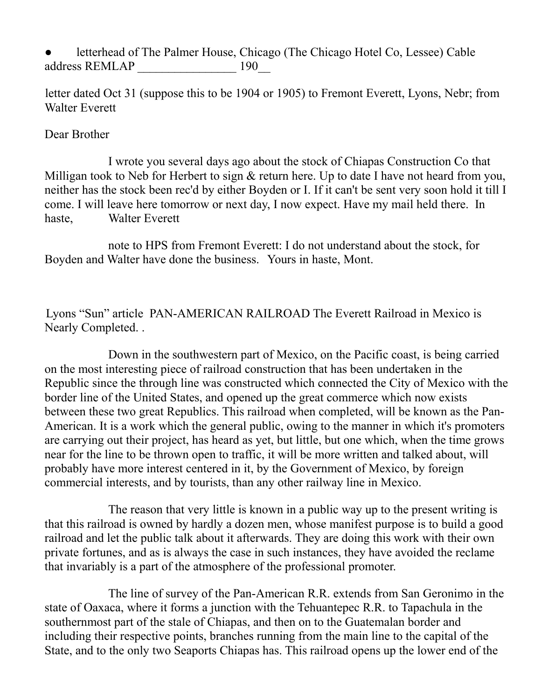#### letterhead of The Palmer House, Chicago (The Chicago Hotel Co, Lessee) Cable address REMLAP  $190$

letter dated Oct 31 (suppose this to be 1904 or 1905) to Fremont Everett, Lyons, Nebr; from Walter Everett

#### Dear Brother

I wrote you several days ago about the stock of Chiapas Construction Co that Milligan took to Neb for Herbert to sign  $\&$  return here. Up to date I have not heard from you, neither has the stock been rec'd by either Boyden or I. If it can't be sent very soon hold it till I come. I will leave here tomorrow or next day, I now expect. Have my mail held there. In haste, Walter Everett

note to HPS from Fremont Everett: I do not understand about the stock, for Boyden and Walter have done the business. Yours in haste, Mont.

Lyons "Sun" article PAN-AMERICAN RAILROAD The Everett Railroad in Mexico is Nearly Completed. .

Down in the southwestern part of Mexico, on the Pacific coast, is being carried on the most interesting piece of railroad construction that has been undertaken in the Republic since the through line was constructed which connected the City of Mexico with the border line of the United States, and opened up the great commerce which now exists between these two great Republics. This railroad when completed, will be known as the Pan-American. It is a work which the general public, owing to the manner in which it's promoters are carrying out their project, has heard as yet, but little, but one which, when the time grows near for the line to be thrown open to traffic, it will be more written and talked about, will probably have more interest centered in it, by the Government of Mexico, by foreign commercial interests, and by tourists, than any other railway line in Mexico.

The reason that very little is known in a public way up to the present writing is that this railroad is owned by hardly a dozen men, whose manifest purpose is to build a good railroad and let the public talk about it afterwards. They are doing this work with their own private fortunes, and as is always the case in such instances, they have avoided the reclame that invariably is a part of the atmosphere of the professional promoter.

The line of survey of the Pan-American R.R. extends from San Geronimo in the state of Oaxaca, where it forms a junction with the Tehuantepec R.R. to Tapachula in the southernmost part of the stale of Chiapas, and then on to the Guatemalan border and including their respective points, branches running from the main line to the capital of the State, and to the only two Seaports Chiapas has. This railroad opens up the lower end of the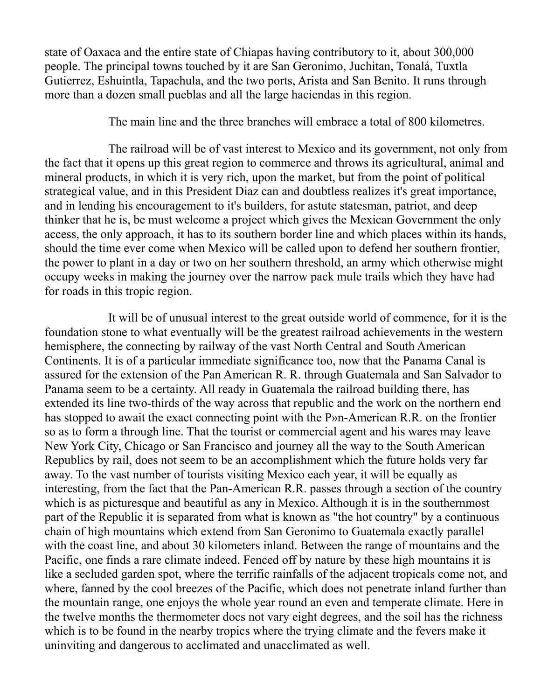state of Oaxaca and the entire state of Chiapas having contributory to it, about 300,000 people. The principal towns touched by it are San Geronimo, Juchitan, Tonalá, Tuxtla Gutierrez, Eshuintla, Tapachula, and the two ports, Arista and San Benito. It runs through more than a dozen small pueblas and all the large haciendas in this region.

The main line and the three branches will embrace a total of 800 kilometres.

The railroad will be of vast interest to Mexico and its government, not only from the fact that it opens up this great region to commerce and throws its agricultural, animal and mineral products, in which it is very rich, upon the market, but from the point of political strategical value, and in this President Diaz can and doubtless realizes it's great importance, and in lending his encouragement to it's builders, for astute statesman, patriot, and deep thinker that he is, be must welcome a project which gives the Mexican Government the only access, the only approach, it has to its southern border line and which places within its hands, should the time ever come when Mexico will be called upon to defend her southern frontier, the power to plant in a day or two on her southern threshold, an army which otherwise might occupy weeks in making the journey over the narrow pack mule trails which they have had for roads in this tropic region.

It will be of unusual interest to the great outside world of commence, for it is the foundation stone to what eventually will be the greatest railroad achievements in the western hemisphere, the connecting by railway of the vast North Central and South American Continents. It is of a particular immediate significance too, now that the Panama Canal is assured for the extension of the Pan American R. R. through Guatemala and San Salvador to Panama seem to be a certainty. All ready in Guatemala the railroad building there, has extended its line two-thirds of the way across that republic and the work on the northern end has stopped to await the exact connecting point with the P»n-American R.R. on the frontier so as to form a through line. That the tourist or commercial agent and his wares may leave New York City, Chicago or San Francisco and journey all the way to the South American Republics by rail, does not seem to be an accomplishment which the future holds very far away. To the vast number of tourists visiting Mexico each year, it will be equally as interesting, from the fact that the Pan-American R.R. passes through a section of the country which is as picturesque and beautiful as any in Mexico. Although it is in the southernmost part of the Republic it is separated from what is known as "the hot country" by a continuous chain of high mountains which extend from San Geronimo to Guatemala exactly parallel with the coast line, and about 30 kilometers inland. Between the range of mountains and the Pacific, one finds a rare climate indeed. Fenced off by nature by these high mountains it is like a secluded garden spot, where the terrific rainfalls of the adjacent tropicals come not, and where, fanned by the cool breezes of the Pacific, which does not penetrate inland further than the mountain range, one enjoys the whole year round an even and temperate climate. Here in the twelve months the thermometer docs not vary eight degrees, and the soil has the richness which is to be found in the nearby tropics where the trying climate and the fevers make it uninviting and dangerous to acclimated and unacclimated as well.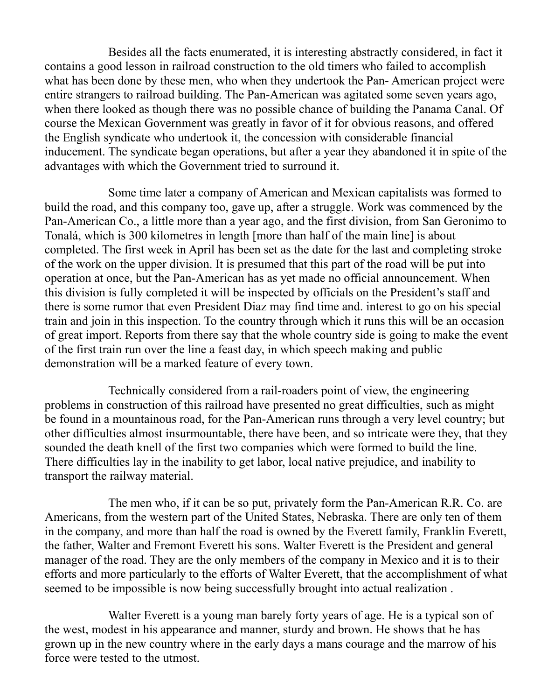Besides all the facts enumerated, it is interesting abstractly considered, in fact it contains a good lesson in railroad construction to the old timers who failed to accomplish what has been done by these men, who when they undertook the Pan- American project were entire strangers to railroad building. The Pan-American was agitated some seven years ago, when there looked as though there was no possible chance of building the Panama Canal. Of course the Mexican Government was greatly in favor of it for obvious reasons, and offered the English syndicate who undertook it, the concession with considerable financial inducement. The syndicate began operations, but after a year they abandoned it in spite of the advantages with which the Government tried to surround it.

Some time later a company of American and Mexican capitalists was formed to build the road, and this company too, gave up, after a struggle. Work was commenced by the Pan-American Co., a little more than a year ago, and the first division, from San Geronimo to Tonalá, which is 300 kilometres in length [more than half of the main line] is about completed. The first week in April has been set as the date for the last and completing stroke of the work on the upper division. It is presumed that this part of the road will be put into operation at once, but the Pan-American has as yet made no official announcement. When this division is fully completed it will be inspected by officials on the President's staff and there is some rumor that even President Diaz may find time and. interest to go on his special train and join in this inspection. To the country through which it runs this will be an occasion of great import. Reports from there say that the whole country side is going to make the event of the first train run over the line a feast day, in which speech making and public demonstration will be a marked feature of every town.

Technically considered from a rail-roaders point of view, the engineering problems in construction of this railroad have presented no great difficulties, such as might be found in a mountainous road, for the Pan-American runs through a very level country; but other difficulties almost insurmountable, there have been, and so intricate were they, that they sounded the death knell of the first two companies which were formed to build the line. There difficulties lay in the inability to get labor, local native prejudice, and inability to transport the railway material.

The men who, if it can be so put, privately form the Pan-American R.R. Co. are Americans, from the western part of the United States, Nebraska. There are only ten of them in the company, and more than half the road is owned by the Everett family, Franklin Everett, the father, Walter and Fremont Everett his sons. Walter Everett is the President and general manager of the road. They are the only members of the company in Mexico and it is to their efforts and more particularly to the efforts of Walter Everett, that the accomplishment of what seemed to be impossible is now being successfully brought into actual realization .

Walter Everett is a young man barely forty years of age. He is a typical son of the west, modest in his appearance and manner, sturdy and brown. He shows that he has grown up in the new country where in the early days a mans courage and the marrow of his force were tested to the utmost.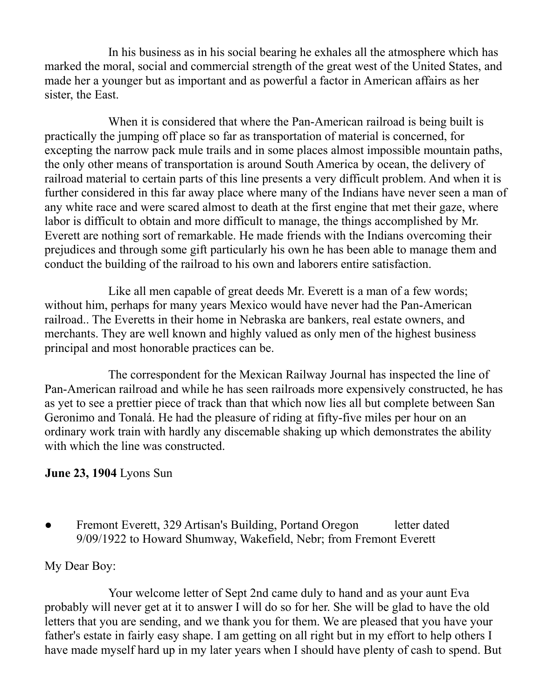In his business as in his social bearing he exhales all the atmosphere which has marked the moral, social and commercial strength of the great west of the United States, and made her a younger but as important and as powerful a factor in American affairs as her sister, the East.

When it is considered that where the Pan-American railroad is being built is practically the jumping off place so far as transportation of material is concerned, for excepting the narrow pack mule trails and in some places almost impossible mountain paths, the only other means of transportation is around South America by ocean, the delivery of railroad material to certain parts of this line presents a very difficult problem. And when it is further considered in this far away place where many of the Indians have never seen a man of any white race and were scared almost to death at the first engine that met their gaze, where labor is difficult to obtain and more difficult to manage, the things accomplished by Mr. Everett are nothing sort of remarkable. He made friends with the Indians overcoming their prejudices and through some gift particularly his own he has been able to manage them and conduct the building of the railroad to his own and laborers entire satisfaction.

Like all men capable of great deeds Mr. Everett is a man of a few words; without him, perhaps for many years Mexico would have never had the Pan-American railroad.. The Everetts in their home in Nebraska are bankers, real estate owners, and merchants. They are well known and highly valued as only men of the highest business principal and most honorable practices can be.

The correspondent for the Mexican Railway Journal has inspected the line of Pan-American railroad and while he has seen railroads more expensively constructed, he has as yet to see a prettier piece of track than that which now lies all but complete between San Geronimo and Tonalá. He had the pleasure of riding at fifty-five miles per hour on an ordinary work train with hardly any discemable shaking up which demonstrates the ability with which the line was constructed.

#### **June 23, 1904** Lyons Sun

Fremont Everett, 329 Artisan's Building, Portand Oregon letter dated 9/09/1922 to Howard Shumway, Wakefield, Nebr; from Fremont Everett

#### My Dear Boy:

Your welcome letter of Sept 2nd came duly to hand and as your aunt Eva probably will never get at it to answer I will do so for her. She will be glad to have the old letters that you are sending, and we thank you for them. We are pleased that you have your father's estate in fairly easy shape. I am getting on all right but in my effort to help others I have made myself hard up in my later years when I should have plenty of cash to spend. But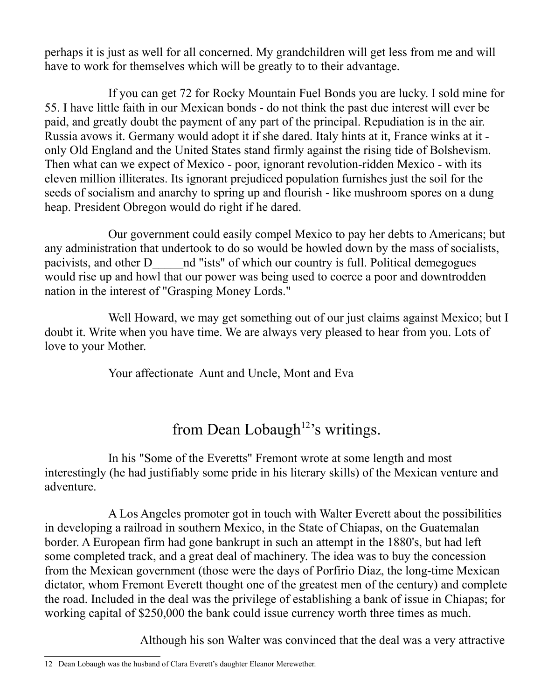perhaps it is just as well for all concerned. My grandchildren will get less from me and will have to work for themselves which will be greatly to to their advantage.

If you can get 72 for Rocky Mountain Fuel Bonds you are lucky. I sold mine for 55. I have little faith in our Mexican bonds - do not think the past due interest will ever be paid, and greatly doubt the payment of any part of the principal. Repudiation is in the air. Russia avows it. Germany would adopt it if she dared. Italy hints at it, France winks at it only Old England and the United States stand firmly against the rising tide of Bolshevism. Then what can we expect of Mexico - poor, ignorant revolution-ridden Mexico - with its eleven million illiterates. Its ignorant prejudiced population furnishes just the soil for the seeds of socialism and anarchy to spring up and flourish - like mushroom spores on a dung heap. President Obregon would do right if he dared.

Our government could easily compel Mexico to pay her debts to Americans; but any administration that undertook to do so would be howled down by the mass of socialists, pacivists, and other D\_\_\_\_\_nd "ists" of which our country is full. Political demegogues would rise up and howl that our power was being used to coerce a poor and downtrodden nation in the interest of "Grasping Money Lords."

Well Howard, we may get something out of our just claims against Mexico; but I doubt it. Write when you have time. We are always very pleased to hear from you. Lots of love to your Mother.

Your affectionate Aunt and Uncle, Mont and Eva

# from Dean Lobaugh<sup>[12](#page-43-0)</sup>'s writings.

In his "Some of the Everetts" Fremont wrote at some length and most interestingly (he had justifiably some pride in his literary skills) of the Mexican venture and adventure.

A Los Angeles promoter got in touch with Walter Everett about the possibilities in developing a railroad in southern Mexico, in the State of Chiapas, on the Guatemalan border. A European firm had gone bankrupt in such an attempt in the 1880's, but had left some completed track, and a great deal of machinery. The idea was to buy the concession from the Mexican government (those were the days of Porfirio Diaz, the long-time Mexican dictator, whom Fremont Everett thought one of the greatest men of the century) and complete the road. Included in the deal was the privilege of establishing a bank of issue in Chiapas; for working capital of \$250,000 the bank could issue currency worth three times as much.

Although his son Walter was convinced that the deal was a very attractive

<span id="page-43-0"></span><sup>12</sup> Dean Lobaugh was the husband of Clara Everett's daughter Eleanor Merewether.